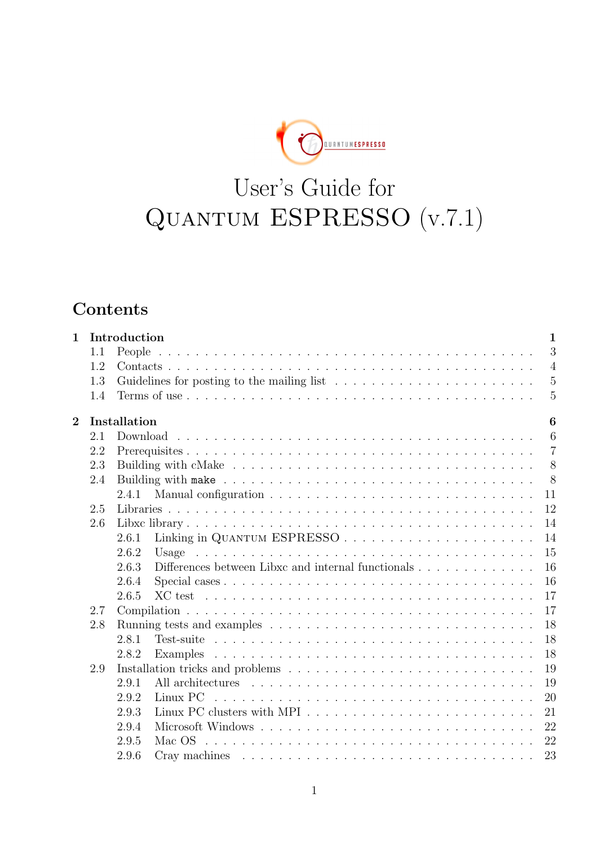**EXPRESSED** 

# User's Guide for Quantum ESPRESSO (v.7.1)

## **Contents**

| Introduction<br>$\mathbf{1}$ |     | $\mathbf{1}$                                                                                                                                                                                                                                 |
|------------------------------|-----|----------------------------------------------------------------------------------------------------------------------------------------------------------------------------------------------------------------------------------------------|
|                              | 1.1 | 3                                                                                                                                                                                                                                            |
|                              | 1.2 | $\overline{4}$                                                                                                                                                                                                                               |
|                              | 1.3 | $\overline{5}$                                                                                                                                                                                                                               |
|                              | 1.4 | 5                                                                                                                                                                                                                                            |
| $\overline{2}$               |     | 6<br>Installation                                                                                                                                                                                                                            |
|                              | 2.1 | 6                                                                                                                                                                                                                                            |
|                              | 2.2 | $\overline{7}$                                                                                                                                                                                                                               |
|                              | 2.3 | 8                                                                                                                                                                                                                                            |
|                              | 2.4 | 8                                                                                                                                                                                                                                            |
|                              |     | 11<br>2.4.1                                                                                                                                                                                                                                  |
|                              | 2.5 | 12                                                                                                                                                                                                                                           |
|                              | 2.6 | 14                                                                                                                                                                                                                                           |
|                              |     | 14<br>2.6.1                                                                                                                                                                                                                                  |
|                              |     | 15<br>2.6.2                                                                                                                                                                                                                                  |
|                              |     | 16<br>2.6.3<br>Differences between Libxc and internal functionals                                                                                                                                                                            |
|                              |     | 16<br>2.6.4                                                                                                                                                                                                                                  |
|                              |     | 17<br>2.6.5<br>XC test reconservative and a series are a series and a series and a series of the series of the series of the series of the series of the series of the series of the series of the series of the series of the series of the |
|                              | 2.7 | 17                                                                                                                                                                                                                                           |
|                              | 2.8 | 18                                                                                                                                                                                                                                           |
|                              |     | 18<br>2.8.1                                                                                                                                                                                                                                  |
|                              |     | 18<br>2.8.2                                                                                                                                                                                                                                  |
|                              | 2.9 | 19                                                                                                                                                                                                                                           |
|                              |     | 19<br>2.9.1                                                                                                                                                                                                                                  |
|                              |     | 20<br>2.9.2                                                                                                                                                                                                                                  |
|                              |     | 21<br>2.9.3                                                                                                                                                                                                                                  |
|                              |     | 22<br>2.9.4                                                                                                                                                                                                                                  |
|                              |     | 22<br>2.9.5<br>Mac OS $\ldots \ldots \ldots \ldots \ldots \ldots \ldots \ldots \ldots \ldots \ldots \ldots \ldots$                                                                                                                           |
|                              |     | 23<br>2.9.6                                                                                                                                                                                                                                  |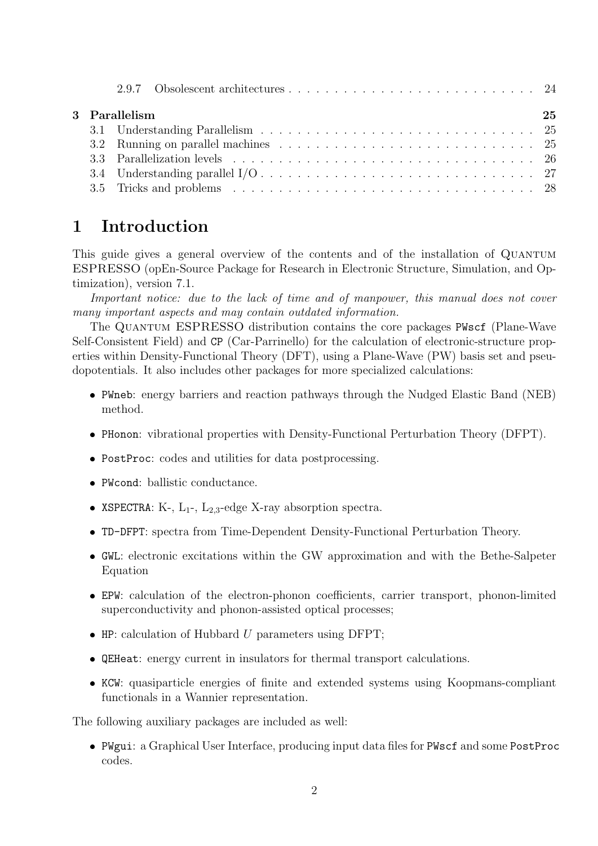|  | 3 Parallelism | 25 |
|--|---------------|----|
|  |               |    |
|  |               |    |
|  |               |    |
|  |               |    |
|  |               |    |

## 1 Introduction

This guide gives a general overview of the contents and of the installation of QUANTUM ESPRESSO (opEn-Source Package for Research in Electronic Structure, Simulation, and Optimization), version 7.1.

Important notice: due to the lack of time and of manpower, this manual does not cover many important aspects and may contain outdated information.

The Quantum ESPRESSO distribution contains the core packages PWscf (Plane-Wave Self-Consistent Field) and CP (Car-Parrinello) for the calculation of electronic-structure properties within Density-Functional Theory (DFT), using a Plane-Wave (PW) basis set and pseudopotentials. It also includes other packages for more specialized calculations:

- PWneb: energy barriers and reaction pathways through the Nudged Elastic Band (NEB) method.
- PHonon: vibrational properties with Density-Functional Perturbation Theory (DFPT).
- PostProc: codes and utilities for data postprocessing.
- PWcond: ballistic conductance.
- XSPECTRA: K-,  $L_1$ -,  $L_2$ <sub>3</sub>-edge X-ray absorption spectra.
- TD-DFPT: spectra from Time-Dependent Density-Functional Perturbation Theory.
- GWL: electronic excitations within the GW approximation and with the Bethe-Salpeter Equation
- EPW: calculation of the electron-phonon coefficients, carrier transport, phonon-limited superconductivity and phonon-assisted optical processes;
- $\bullet$  HP: calculation of Hubbard U parameters using DFPT;
- QEHeat: energy current in insulators for thermal transport calculations.
- KCW: quasiparticle energies of finite and extended systems using Koopmans-compliant functionals in a Wannier representation.

The following auxiliary packages are included as well:

 PWgui: a Graphical User Interface, producing input data files for PWscf and some PostProc codes.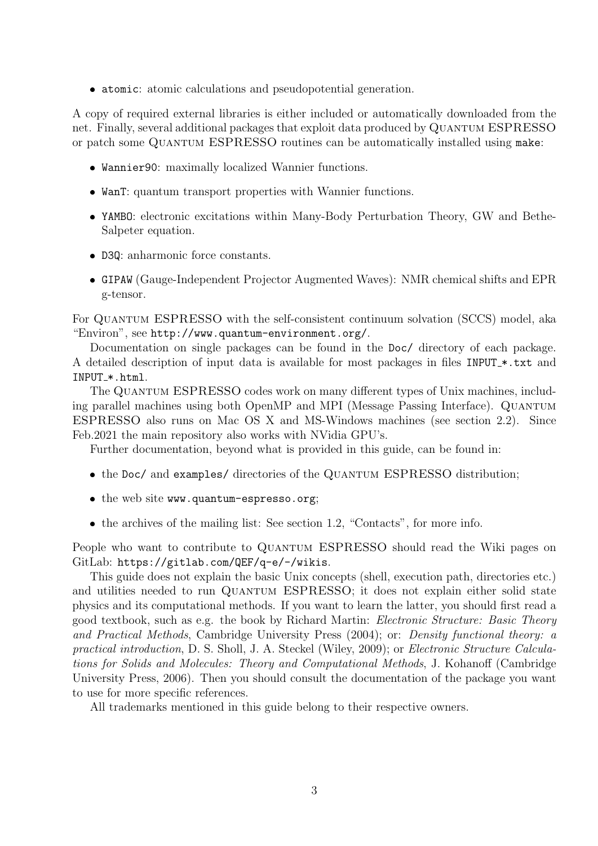atomic: atomic calculations and pseudopotential generation.

A copy of required external libraries is either included or automatically downloaded from the net. Finally, several additional packages that exploit data produced by QUANTUM ESPRESSO or patch some QUANTUM ESPRESSO routines can be automatically installed using make:

- Wannier90: maximally localized Wannier functions.
- WanT: quantum transport properties with Wannier functions.
- YAMBO: electronic excitations within Many-Body Perturbation Theory, GW and Bethe-Salpeter equation.
- D3Q: anharmonic force constants.
- GIPAW (Gauge-Independent Projector Augmented Waves): NMR chemical shifts and EPR g-tensor.

For Quantum ESPRESSO with the self-consistent continuum solvation (SCCS) model, aka "Environ", see http://www.quantum-environment.org/.

Documentation on single packages can be found in the Doc/ directory of each package. A detailed description of input data is available for most packages in files INPUT \*.txt and INPUT\_\*.html.

The Quantum ESPRESSO codes work on many different types of Unix machines, including parallel machines using both OpenMP and MPI (Message Passing Interface). Quantum ESPRESSO also runs on Mac OS X and MS-Windows machines (see section 2.2). Since Feb.2021 the main repository also works with NVidia GPU's.

Further documentation, beyond what is provided in this guide, can be found in:

- the Doc/ and examples/ directories of the QUANTUM ESPRESSO distribution;
- the web site www.quantum-espresso.org;
- the archives of the mailing list: See section 1.2, "Contacts", for more info.

People who want to contribute to QUANTUM ESPRESSO should read the Wiki pages on GitLab: https://gitlab.com/QEF/q-e/-/wikis.

This guide does not explain the basic Unix concepts (shell, execution path, directories etc.) and utilities needed to run QUANTUM ESPRESSO; it does not explain either solid state physics and its computational methods. If you want to learn the latter, you should first read a good textbook, such as e.g. the book by Richard Martin: Electronic Structure: Basic Theory and Practical Methods, Cambridge University Press (2004); or: Density functional theory: a practical introduction, D. S. Sholl, J. A. Steckel (Wiley, 2009); or Electronic Structure Calculations for Solids and Molecules: Theory and Computational Methods, J. Kohanoff (Cambridge University Press, 2006). Then you should consult the documentation of the package you want to use for more specific references.

All trademarks mentioned in this guide belong to their respective owners.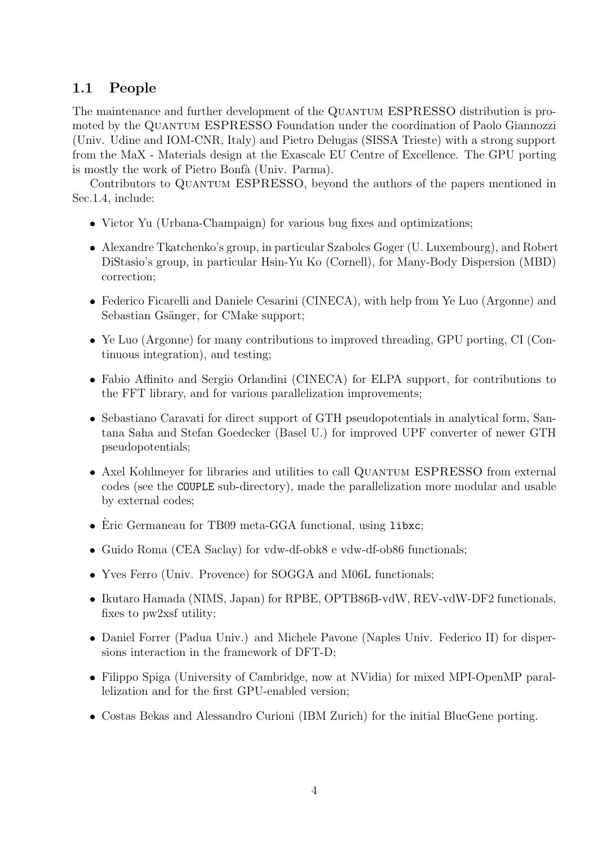## 1.1 People

The maintenance and further development of the QUANTUM ESPRESSO distribution is promoted by the QUANTUM ESPRESSO Foundation under the coordination of Paolo Giannozzi (Univ. Udine and IOM-CNR, Italy) and Pietro Delugas (SISSA Trieste) with a strong support from the MaX - Materials design at the Exascale EU Centre of Excellence. The GPU porting is mostly the work of Pietro Bonfà (Univ. Parma).

Contributors to QUANTUM ESPRESSO, beyond the authors of the papers mentioned in Sec.1.4, include:

- Victor Yu (Urbana-Champaign) for various bug fixes and optimizations;
- Alexandre Tkatchenko's group, in particular Szabolcs Goger (U. Luxembourg), and Robert DiStasio's group, in particular Hsin-Yu Ko (Cornell), for Many-Body Dispersion (MBD) correction;
- Federico Ficarelli and Daniele Cesarini (CINECA), with help from Ye Luo (Argonne) and Sebastian Gsänger, for CMake support;
- Ye Luo (Argonne) for many contributions to improved threading, GPU porting, CI (Continuous integration), and testing;
- Fabio Affinito and Sergio Orlandini (CINECA) for ELPA support, for contributions to the FFT library, and for various parallelization improvements;
- Sebastiano Caravati for direct support of GTH pseudopotentials in analytical form, Santana Saha and Stefan Goedecker (Basel U.) for improved UPF converter of newer GTH pseudopotentials;
- Axel Kohlmeyer for libraries and utilities to call QUANTUM ESPRESSO from external codes (see the COUPLE sub-directory), made the parallelization more modular and usable by external codes;
- Èric Germaneau for TB09 meta-GGA functional, using libxc;
- Guido Roma (CEA Saclay) for vdw-df-obk8 e vdw-df-ob86 functionals;
- Yves Ferro (Univ. Provence) for SOGGA and M06L functionals;
- Ikutaro Hamada (NIMS, Japan) for RPBE, OPTB86B-vdW, REV-vdW-DF2 functionals, fixes to pw2xsf utility;
- Daniel Forrer (Padua Univ.) and Michele Pavone (Naples Univ. Federico II) for dispersions interaction in the framework of DFT-D;
- Filippo Spiga (University of Cambridge, now at NVidia) for mixed MPI-OpenMP parallelization and for the first GPU-enabled version;
- Costas Bekas and Alessandro Curioni (IBM Zurich) for the initial BlueGene porting.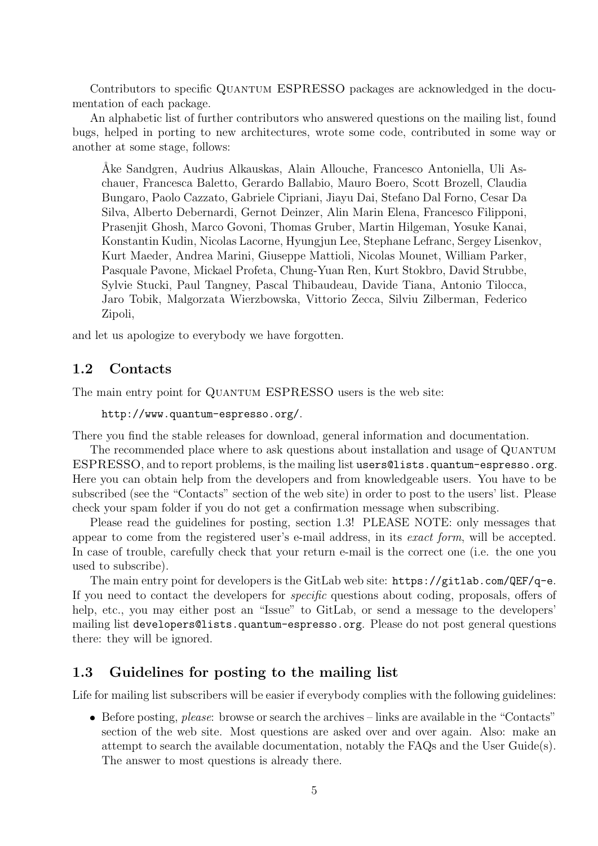Contributors to specific Quantum ESPRESSO packages are acknowledged in the documentation of each package.

An alphabetic list of further contributors who answered questions on the mailing list, found bugs, helped in porting to new architectures, wrote some code, contributed in some way or another at some stage, follows:

˚Ake Sandgren, Audrius Alkauskas, Alain Allouche, Francesco Antoniella, Uli Aschauer, Francesca Baletto, Gerardo Ballabio, Mauro Boero, Scott Brozell, Claudia Bungaro, Paolo Cazzato, Gabriele Cipriani, Jiayu Dai, Stefano Dal Forno, Cesar Da Silva, Alberto Debernardi, Gernot Deinzer, Alin Marin Elena, Francesco Filipponi, Prasenjit Ghosh, Marco Govoni, Thomas Gruber, Martin Hilgeman, Yosuke Kanai, Konstantin Kudin, Nicolas Lacorne, Hyungjun Lee, Stephane Lefranc, Sergey Lisenkov, Kurt Maeder, Andrea Marini, Giuseppe Mattioli, Nicolas Mounet, William Parker, Pasquale Pavone, Mickael Profeta, Chung-Yuan Ren, Kurt Stokbro, David Strubbe, Sylvie Stucki, Paul Tangney, Pascal Thibaudeau, Davide Tiana, Antonio Tilocca, Jaro Tobik, Malgorzata Wierzbowska, Vittorio Zecca, Silviu Zilberman, Federico Zipoli,

and let us apologize to everybody we have forgotten.

#### 1.2 Contacts

The main entry point for QUANTUM ESPRESSO users is the web site:

```
http://www.quantum-espresso.org/.
```
There you find the stable releases for download, general information and documentation.

The recommended place where to ask questions about installation and usage of QUANTUM ESPRESSO, and to report problems, is the mailing list users@lists.quantum-espresso.org. Here you can obtain help from the developers and from knowledgeable users. You have to be subscribed (see the "Contacts" section of the web site) in order to post to the users' list. Please check your spam folder if you do not get a confirmation message when subscribing.

Please read the guidelines for posting, section 1.3! PLEASE NOTE: only messages that appear to come from the registered user's e-mail address, in its exact form, will be accepted. In case of trouble, carefully check that your return e-mail is the correct one (i.e. the one you used to subscribe).

The main entry point for developers is the GitLab web site: https://gitlab.com/QEF/q-e. If you need to contact the developers for specific questions about coding, proposals, offers of help, etc., you may either post an "Issue" to GitLab, or send a message to the developers' mailing list developers@lists.quantum-espresso.org. Please do not post general questions there: they will be ignored.

## 1.3 Guidelines for posting to the mailing list

Life for mailing list subscribers will be easier if everybody complies with the following guidelines:

 $\bullet$  Before posting, please: browse or search the archives – links are available in the "Contacts" section of the web site. Most questions are asked over and over again. Also: make an attempt to search the available documentation, notably the FAQs and the User Guide(s). The answer to most questions is already there.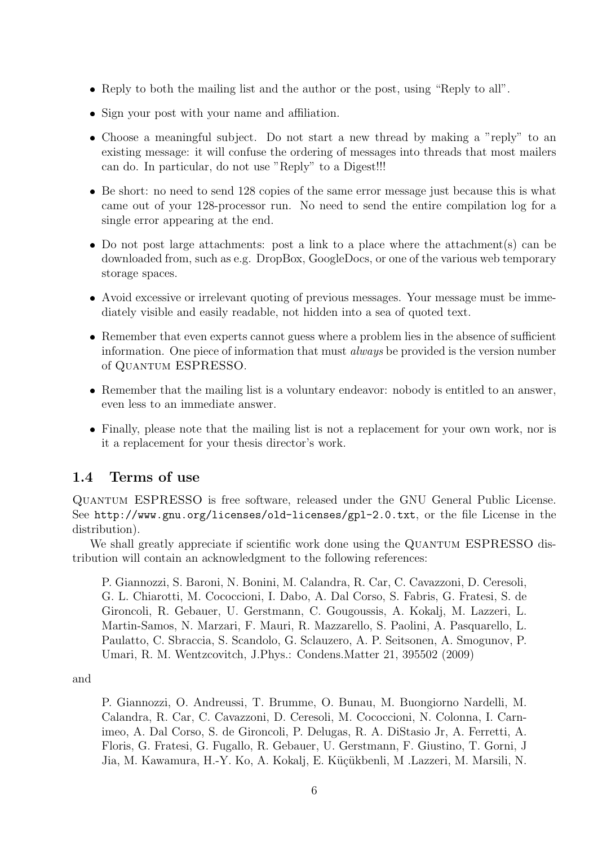- Reply to both the mailing list and the author or the post, using "Reply to all".
- Sign your post with your name and affiliation.
- Choose a meaningful subject. Do not start a new thread by making a "reply" to an existing message: it will confuse the ordering of messages into threads that most mailers can do. In particular, do not use "Reply" to a Digest!!!
- Be short: no need to send 128 copies of the same error message just because this is what came out of your 128-processor run. No need to send the entire compilation log for a single error appearing at the end.
- Do not post large attachments: post a link to a place where the attachment(s) can be downloaded from, such as e.g. DropBox, GoogleDocs, or one of the various web temporary storage spaces.
- Avoid excessive or irrelevant quoting of previous messages. Your message must be immediately visible and easily readable, not hidden into a sea of quoted text.
- Remember that even experts cannot guess where a problem lies in the absence of sufficient information. One piece of information that must always be provided is the version number of Quantum ESPRESSO.
- Remember that the mailing list is a voluntary endeavor: nobody is entitled to an answer, even less to an immediate answer.
- Finally, please note that the mailing list is not a replacement for your own work, nor is it a replacement for your thesis director's work.

#### 1.4 Terms of use

Quantum ESPRESSO is free software, released under the GNU General Public License. See http://www.gnu.org/licenses/old-licenses/gpl-2.0.txt, or the file License in the distribution).

We shall greatly appreciate if scientific work done using the QUANTUM ESPRESSO distribution will contain an acknowledgment to the following references:

P. Giannozzi, S. Baroni, N. Bonini, M. Calandra, R. Car, C. Cavazzoni, D. Ceresoli, G. L. Chiarotti, M. Cococcioni, I. Dabo, A. Dal Corso, S. Fabris, G. Fratesi, S. de Gironcoli, R. Gebauer, U. Gerstmann, C. Gougoussis, A. Kokalj, M. Lazzeri, L. Martin-Samos, N. Marzari, F. Mauri, R. Mazzarello, S. Paolini, A. Pasquarello, L. Paulatto, C. Sbraccia, S. Scandolo, G. Sclauzero, A. P. Seitsonen, A. Smogunov, P. Umari, R. M. Wentzcovitch, J.Phys.: Condens.Matter 21, 395502 (2009)

and

P. Giannozzi, O. Andreussi, T. Brumme, O. Bunau, M. Buongiorno Nardelli, M. Calandra, R. Car, C. Cavazzoni, D. Ceresoli, M. Cococcioni, N. Colonna, I. Carnimeo, A. Dal Corso, S. de Gironcoli, P. Delugas, R. A. DiStasio Jr, A. Ferretti, A. Floris, G. Fratesi, G. Fugallo, R. Gebauer, U. Gerstmann, F. Giustino, T. Gorni, J Jia, M. Kawamura, H.-Y. Ko, A. Kokalj, E. Küçükbenli, M. Lazzeri, M. Marsili, N.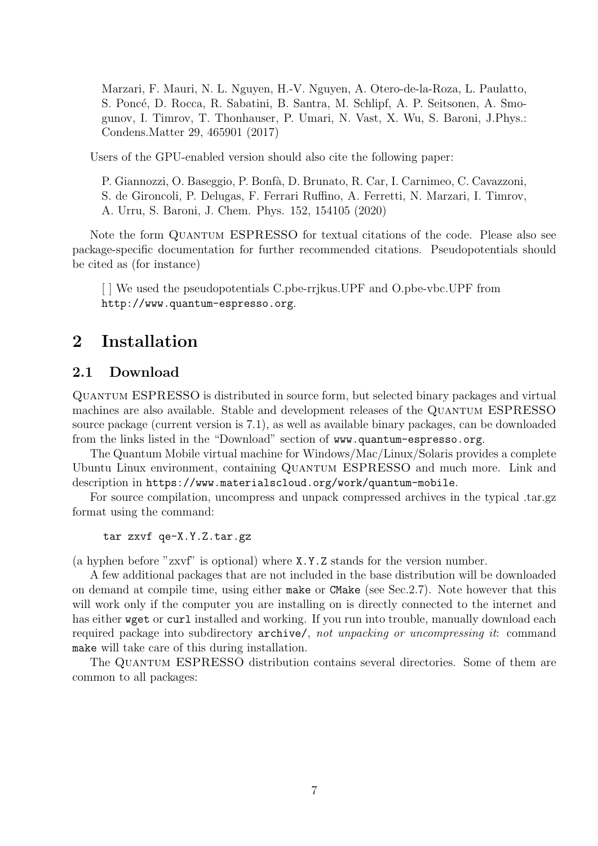Marzari, F. Mauri, N. L. Nguyen, H.-V. Nguyen, A. Otero-de-la-Roza, L. Paulatto, S. Poncé, D. Rocca, R. Sabatini, B. Santra, M. Schlipf, A. P. Seitsonen, A. Smogunov, I. Timrov, T. Thonhauser, P. Umari, N. Vast, X. Wu, S. Baroni, J.Phys.: Condens.Matter 29, 465901 (2017)

Users of the GPU-enabled version should also cite the following paper:

P. Giannozzi, O. Baseggio, P. Bonf`a, D. Brunato, R. Car, I. Carnimeo, C. Cavazzoni, S. de Gironcoli, P. Delugas, F. Ferrari Ruffino, A. Ferretti, N. Marzari, I. Timrov, A. Urru, S. Baroni, J. Chem. Phys. 152, 154105 (2020)

Note the form QUANTUM ESPRESSO for textual citations of the code. Please also see package-specific documentation for further recommended citations. Pseudopotentials should be cited as (for instance)

[ ] We used the pseudopotentials C.pbe-rrjkus.UPF and O.pbe-vbc.UPF from http://www.quantum-espresso.org.

## 2 Installation

## 2.1 Download

Quantum ESPRESSO is distributed in source form, but selected binary packages and virtual machines are also available. Stable and development releases of the QUANTUM ESPRESSO source package (current version is 7.1), as well as available binary packages, can be downloaded from the links listed in the "Download" section of www.quantum-espresso.org.

The Quantum Mobile virtual machine for Windows/Mac/Linux/Solaris provides a complete Ubuntu Linux environment, containing Quantum ESPRESSO and much more. Link and description in https://www.materialscloud.org/work/quantum-mobile.

For source compilation, uncompress and unpack compressed archives in the typical .tar.gz format using the command:

tar zxvf qe-X.Y.Z.tar.gz

(a hyphen before "zxvf" is optional) where X.Y.Z stands for the version number.

A few additional packages that are not included in the base distribution will be downloaded on demand at compile time, using either make or CMake (see Sec.2.7). Note however that this will work only if the computer you are installing on is directly connected to the internet and has either weet or curl installed and working. If you run into trouble, manually download each required package into subdirectory archive/, not unpacking or uncompressing it: command make will take care of this during installation.

The Quantum ESPRESSO distribution contains several directories. Some of them are common to all packages: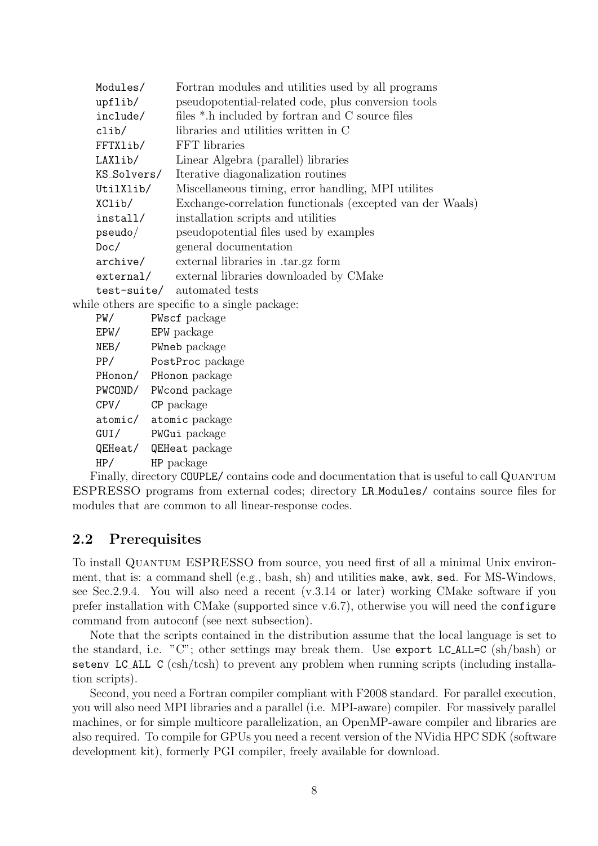|  | Modules/                                                          |                        | Fortran modules and utilities used by all programs        |  |  |
|--|-------------------------------------------------------------------|------------------------|-----------------------------------------------------------|--|--|
|  | upflib/                                                           |                        | pseudopotential-related code, plus conversion tools       |  |  |
|  | include/                                                          |                        | files *.h included by fortran and C source files          |  |  |
|  | clib/                                                             |                        | libraries and utilities written in C                      |  |  |
|  | FFTXlib/                                                          |                        | FFT libraries                                             |  |  |
|  | LAXlib/                                                           |                        | Linear Algebra (parallel) libraries                       |  |  |
|  | KS_Solvers/<br>UtilXlib/<br>XClib/<br>install/<br>pseudo/<br>Doc/ |                        | Iterative diagonalization routines                        |  |  |
|  |                                                                   |                        | Miscellaneous timing, error handling, MPI utilities       |  |  |
|  |                                                                   |                        | Exchange-correlation functionals (excepted van der Waals) |  |  |
|  |                                                                   |                        | installation scripts and utilities                        |  |  |
|  |                                                                   |                        | pseudopotential files used by examples                    |  |  |
|  |                                                                   |                        | general documentation                                     |  |  |
|  |                                                                   |                        | archive/ external libraries in .tar.gz form               |  |  |
|  |                                                                   |                        | external/ external libraries downloaded by CMake          |  |  |
|  |                                                                   |                        | test-suite/ automated tests                               |  |  |
|  |                                                                   |                        | while others are specific to a single package:            |  |  |
|  | PW/                                                               |                        | PWscf package                                             |  |  |
|  | EPW/ EPW package                                                  |                        |                                                           |  |  |
|  | NEB/ PWneb package                                                |                        |                                                           |  |  |
|  |                                                                   |                        | PP/ PostProc package                                      |  |  |
|  |                                                                   |                        | PHonon/ PHonon package                                    |  |  |
|  |                                                                   |                        | PWCOND/ PWcond package                                    |  |  |
|  | CPV/                                                              | CP package             |                                                           |  |  |
|  |                                                                   | atomic/ atomic package |                                                           |  |  |
|  | GUI/ PWGui package                                                |                        |                                                           |  |  |
|  |                                                                   |                        | QEHeat/ QEHeat package                                    |  |  |
|  | HP/                                                               |                        | HP package                                                |  |  |

Finally, directory COUPLE/ contains code and documentation that is useful to call QUANTUM ESPRESSO programs from external codes; directory LR Modules/ contains source files for modules that are common to all linear-response codes.

#### 2.2 Prerequisites

To install Quantum ESPRESSO from source, you need first of all a minimal Unix environment, that is: a command shell (e.g., bash, sh) and utilities make, awk, sed. For MS-Windows, see Sec.2.9.4. You will also need a recent (v.3.14 or later) working CMake software if you prefer installation with CMake (supported since v.6.7), otherwise you will need the configure command from autoconf (see next subsection).

Note that the scripts contained in the distribution assume that the local language is set to the standard, i.e. "C"; other settings may break them. Use export LC ALL=C (sh/bash) or setenv LC\_ALL C (csh/tcsh) to prevent any problem when running scripts (including installation scripts).

Second, you need a Fortran compiler compliant with F2008 standard. For parallel execution, you will also need MPI libraries and a parallel (i.e. MPI-aware) compiler. For massively parallel machines, or for simple multicore parallelization, an OpenMP-aware compiler and libraries are also required. To compile for GPUs you need a recent version of the NVidia HPC SDK (software development kit), formerly PGI compiler, freely available for download.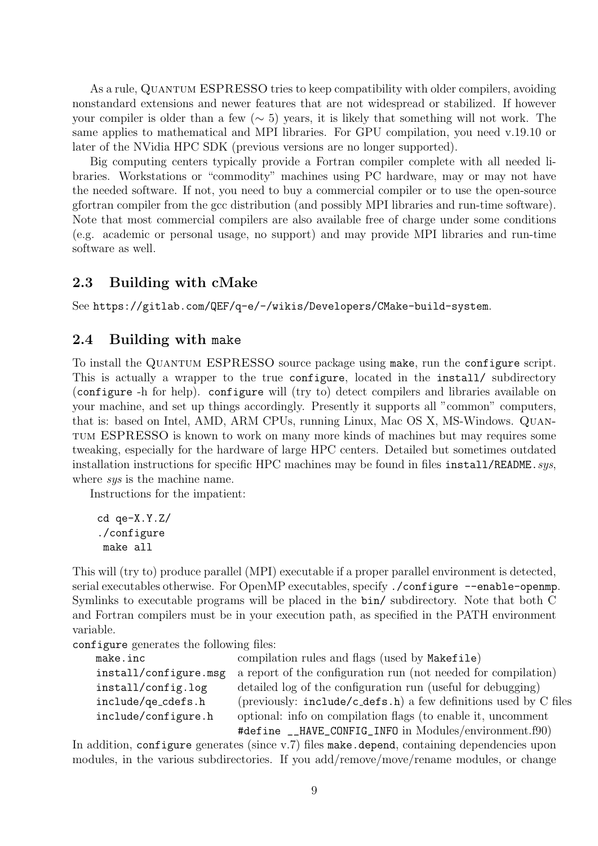As a rule, Quantum ESPRESSO tries to keep compatibility with older compilers, avoiding nonstandard extensions and newer features that are not widespread or stabilized. If however your compiler is older than a few ( $\sim$  5) years, it is likely that something will not work. The same applies to mathematical and MPI libraries. For GPU compilation, you need v.19.10 or later of the NVidia HPC SDK (previous versions are no longer supported).

Big computing centers typically provide a Fortran compiler complete with all needed libraries. Workstations or "commodity" machines using PC hardware, may or may not have the needed software. If not, you need to buy a commercial compiler or to use the open-source gfortran compiler from the gcc distribution (and possibly MPI libraries and run-time software). Note that most commercial compilers are also available free of charge under some conditions (e.g. academic or personal usage, no support) and may provide MPI libraries and run-time software as well.

#### 2.3 Building with cMake

See https://gitlab.com/QEF/q-e/-/wikis/Developers/CMake-build-system.

#### 2.4 Building with make

To install the QUANTUM ESPRESSO source package using make, run the configure script. This is actually a wrapper to the true configure, located in the install/ subdirectory (configure -h for help). configure will (try to) detect compilers and libraries available on your machine, and set up things accordingly. Presently it supports all "common" computers, that is: based on Intel, AMD, ARM CPUs, running Linux, Mac OS X, MS-Windows. Quantum ESPRESSO is known to work on many more kinds of machines but may requires some tweaking, especially for the hardware of large HPC centers. Detailed but sometimes outdated installation instructions for specific HPC machines may be found in files  $instail/README.sys$ , where *sys* is the machine name.

Instructions for the impatient:

```
cd qe-X.Y.Z/
./configure
make all
```
This will (try to) produce parallel (MPI) executable if a proper parallel environment is detected, serial executables otherwise. For OpenMP executables, specify ./configure --enable-openmp. Symlinks to executable programs will be placed in the bin/ subdirectory. Note that both C and Fortran compilers must be in your execution path, as specified in the PATH environment variable.

configure generates the following files:

| make.inc              | compilation rules and flags (used by Makefile)                   |
|-----------------------|------------------------------------------------------------------|
| install/configure.msg | a report of the configuration run (not needed for compilation)   |
| install/config.log    | detailed log of the configuration run (useful for debugging)     |
| include/qe_cdefs.h    | (previously: include/c_defs.h) a few definitions used by C files |
| include/configure.h   | optional: info on compilation flags (to enable it, uncomment     |
|                       | #define __HAVE_CONFIG_INFO in Modules/environment.f90)           |

In addition, configure generates (since v.7) files make.depend, containing dependencies upon modules, in the various subdirectories. If you add/remove/move/rename modules, or change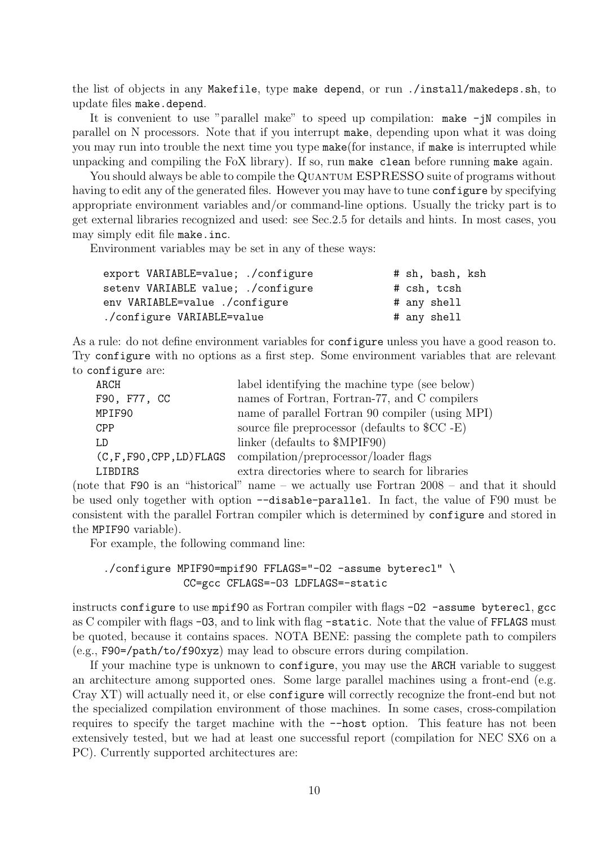the list of objects in any Makefile, type make depend, or run ./install/makedeps.sh, to update files make.depend.

It is convenient to use "parallel make" to speed up compilation:  $\text{make}$  -jN compiles in parallel on N processors. Note that if you interrupt make, depending upon what it was doing you may run into trouble the next time you type make(for instance, if make is interrupted while unpacking and compiling the FoX library). If so, run make clean before running make again.

You should always be able to compile the QUANTUM ESPRESSO suite of programs without having to edit any of the generated files. However you may have to tune configure by specifying appropriate environment variables and/or command-line options. Usually the tricky part is to get external libraries recognized and used: see Sec.2.5 for details and hints. In most cases, you may simply edit file make.inc.

Environment variables may be set in any of these ways:

| export VARIABLE=value; ./configure        |  | # sh, bash, ksh |  |
|-------------------------------------------|--|-----------------|--|
| setenv VARIABLE value; ./configure        |  | # csh, tcsh     |  |
| env VARIABLE=value ./configure            |  | # any shell     |  |
| ./configure VARIABLE=value<br># any shell |  |                 |  |

As a rule: do not define environment variables for configure unless you have a good reason to. Try configure with no options as a first step. Some environment variables that are relevant to configure are:

| ARCH                         | label identifying the machine type (see below)   |
|------------------------------|--------------------------------------------------|
| F90, F77, CC                 | names of Fortran, Fortran-77, and C compilers    |
| MPIF90                       | name of parallel Fortran 90 compiler (using MPI) |
| <b>CPP</b>                   | source file preprocessor (defaults to $C$ -E)    |
| I.D                          | linker (defaults to \$MPIF90)                    |
| $(C, F, F90, CPP, LD)$ FLAGS | compilation/preprocessor/loader flags            |
| LIBDIRS                      | extra directories where to search for libraries  |

(note that F90 is an "historical" name – we actually use Fortran 2008 – and that it should be used only together with option --disable-parallel. In fact, the value of F90 must be consistent with the parallel Fortran compiler which is determined by configure and stored in the MPIF90 variable).

For example, the following command line:

#### ./configure MPIF90=mpif90 FFLAGS="-O2 -assume byterecl" \ CC=gcc CFLAGS=-O3 LDFLAGS=-static

instructs configure to use mpif90 as Fortran compiler with flags -02 -assume byterecl, gcc as C compiler with flags -03, and to link with flag -static. Note that the value of FFLAGS must be quoted, because it contains spaces. NOTA BENE: passing the complete path to compilers (e.g., F90=/path/to/f90xyz) may lead to obscure errors during compilation.

If your machine type is unknown to configure, you may use the ARCH variable to suggest an architecture among supported ones. Some large parallel machines using a front-end (e.g. Cray XT) will actually need it, or else configure will correctly recognize the front-end but not the specialized compilation environment of those machines. In some cases, cross-compilation requires to specify the target machine with the --host option. This feature has not been extensively tested, but we had at least one successful report (compilation for NEC SX6 on a PC). Currently supported architectures are: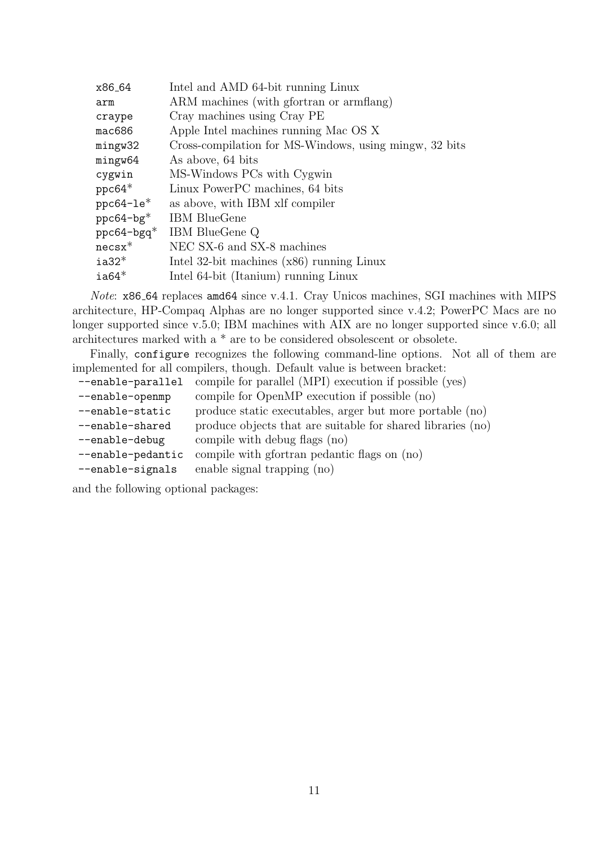| x86_64                    | Intel and AMD 64-bit running Linux                     |
|---------------------------|--------------------------------------------------------|
| arm                       | ARM machines (with gfortran or armflang)               |
| craype                    | Cray machines using Cray PE                            |
| mac686                    | Apple Intel machines running Mac OS X                  |
| mingw32                   | Cross-compilation for MS-Windows, using mingw, 32 bits |
| mingw64                   | As above, 64 bits                                      |
| cygwin                    | MS-Windows PCs with Cygwin                             |
| $ppc64*$                  | Linux PowerPC machines, 64 bits                        |
| $ppc64-1e*$               | as above, with IBM xlf compiler                        |
| ppc64-bg*                 | <b>IBM</b> BlueGene                                    |
| $ppc64$ -bgq <sup>*</sup> | IBM BlueGene Q                                         |
| $\mathtt{ncsx}^*$         | NEC SX-6 and SX-8 machines                             |
| $ia32*$                   | Intel 32-bit machines $(x86)$ running Linux            |
| $ia64*$                   | Intel 64-bit (Itanium) running Linux                   |
|                           |                                                        |

Note: x86 64 replaces amd64 since v.4.1. Cray Unicos machines, SGI machines with MIPS architecture, HP-Compaq Alphas are no longer supported since v.4.2; PowerPC Macs are no longer supported since v.5.0; IBM machines with AIX are no longer supported since v.6.0; all architectures marked with a \* are to be considered obsolescent or obsolete.

Finally, configure recognizes the following command-line options. Not all of them are implemented for all compilers, though. Default value is between bracket:

| --enable-parallel | compile for parallel (MPI) execution if possible (yes)      |
|-------------------|-------------------------------------------------------------|
| --enable-openmp   | compile for OpenMP execution if possible (no)               |
| --enable-static   | produce static executables, arger but more portable (no)    |
| --enable-shared   | produce objects that are suitable for shared libraries (no) |
| --enable-debug    | compile with debug flags (no)                               |
| --enable-pedantic | compile with gfortran pedantic flags on (no)                |
| --enable-signals  | enable signal trapping (no)                                 |
|                   |                                                             |

and the following optional packages: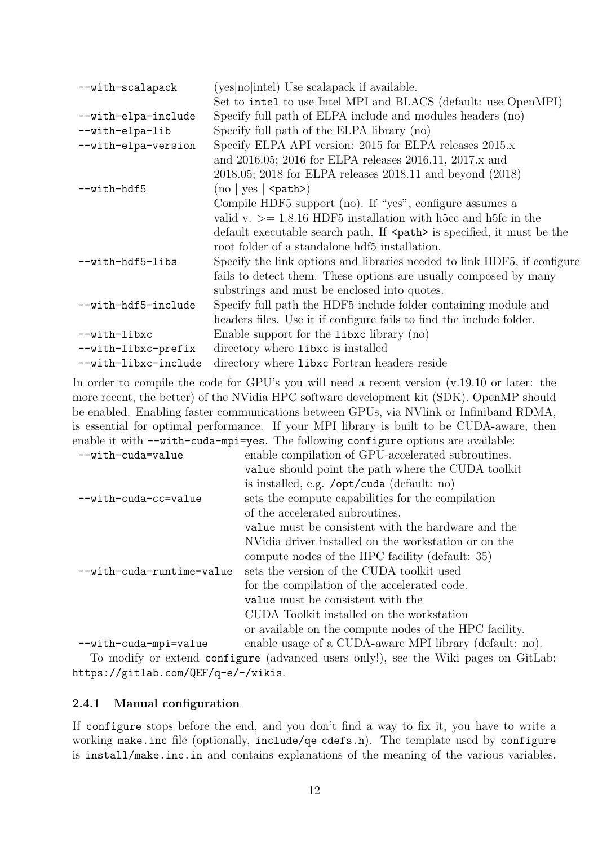| --with-scalapack     | (yes no intel) Use scalapack if available.                                                 |
|----------------------|--------------------------------------------------------------------------------------------|
|                      | Set to intel to use Intel MPI and BLACS (default: use OpenMPI)                             |
| --with-elpa-include  | Specify full path of ELPA include and modules headers (no)                                 |
| --with-elpa-lib      | Specify full path of the ELPA library (no)                                                 |
| --with-elpa-version  | Specify ELPA API version: 2015 for ELPA releases 2015.x                                    |
|                      | and 2016.05; 2016 for ELPA releases 2016.11, 2017.x and                                    |
|                      | 2018.05; 2018 for ELPA releases 2018.11 and beyond (2018)                                  |
| --with-hdf5          | $\text{(no} \mid \text{yes} \mid \text{~path>})$                                           |
|                      | Compile HDF5 support (no). If "yes", configure assumes a                                   |
|                      | valid v. $\ge$ = 1.8.16 HDF5 installation with h5cc and h5fc in the                        |
|                      | default executable search path. If $\epsilon$ $\star$ $\star$ is specified, it must be the |
|                      | root folder of a standalone hdf5 installation.                                             |
| --with-hdf5-libs     | Specify the link options and libraries needed to link HDF5, if configure                   |
|                      | fails to detect them. These options are usually composed by many                           |
|                      | substrings and must be enclosed into quotes.                                               |
| --with-hdf5-include  | Specify full path the HDF5 include folder containing module and                            |
|                      | headers files. Use it if configure fails to find the include folder.                       |
| --with-libxc         | Enable support for the library (no)                                                        |
| --with-libxc-prefix  | directory where librarion is installed                                                     |
| --with-libxc-include | directory where librar Fortran headers reside                                              |

In order to compile the code for GPU's you will need a recent version  $(v.19.10)$  or later: the more recent, the better) of the NVidia HPC software development kit (SDK). OpenMP should be enabled. Enabling faster communications between GPUs, via NVlink or Infiniband RDMA, is essential for optimal performance. If your MPI library is built to be CUDA-aware, then enable it with --with-cuda-mpi=yes. The following configure options are available:

| --with-cuda=value         | enable compilation of GPU-accelerated subroutines.      |
|---------------------------|---------------------------------------------------------|
|                           | value should point the path where the CUDA toolkit      |
|                           | is installed, e.g. /opt/cuda (default: no)              |
| --with-cuda-cc=value      | sets the compute capabilities for the compilation       |
|                           | of the accelerated subroutines.                         |
|                           | value must be consistent with the hardware and the      |
|                           | NVidia driver installed on the workstation or on the    |
|                           | compute nodes of the HPC facility (default: 35)         |
| --with-cuda-runtime=value | sets the version of the CUDA toolkit used               |
|                           | for the compilation of the accelerated code.            |
|                           | value must be consistent with the                       |
|                           | CUDA Toolkit installed on the workstation               |
|                           | or available on the compute nodes of the HPC facility.  |
| --with-cuda-mpi=value     | enable usage of a CUDA-aware MPI library (default: no). |

To modify or extend configure (advanced users only!), see the Wiki pages on GitLab: https://gitlab.com/QEF/q-e/-/wikis.

#### 2.4.1 Manual configuration

If configure stops before the end, and you don't find a way to fix it, you have to write a working make.inc file (optionally, include/qe cdefs.h). The template used by configure is install/make.inc.in and contains explanations of the meaning of the various variables.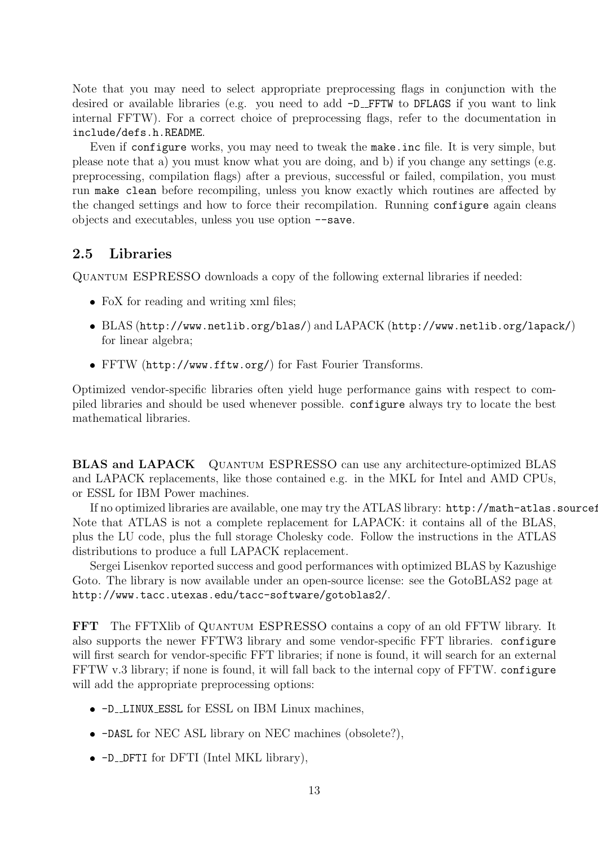Note that you may need to select appropriate preprocessing flags in conjunction with the desired or available libraries (e.g. you need to add  $-D$ \_FFTW to DFLAGS if you want to link internal FFTW). For a correct choice of preprocessing flags, refer to the documentation in include/defs.h.README.

Even if configure works, you may need to tweak the make.inc file. It is very simple, but please note that a) you must know what you are doing, and b) if you change any settings (e.g. preprocessing, compilation flags) after a previous, successful or failed, compilation, you must run make clean before recompiling, unless you know exactly which routines are affected by the changed settings and how to force their recompilation. Running configure again cleans objects and executables, unless you use option --save.

## 2.5 Libraries

Quantum ESPRESSO downloads a copy of the following external libraries if needed:

- FoX for reading and writing xml files;
- BLAS (http://www.netlib.org/blas/) and LAPACK (http://www.netlib.org/lapack/) for linear algebra;
- FFTW (http://www.fftw.org/) for Fast Fourier Transforms.

Optimized vendor-specific libraries often yield huge performance gains with respect to compiled libraries and should be used whenever possible. configure always try to locate the best mathematical libraries.

BLAS and LAPACK Quantum ESPRESSO can use any architecture-optimized BLAS and LAPACK replacements, like those contained e.g. in the MKL for Intel and AMD CPUs, or ESSL for IBM Power machines.

If no optimized libraries are available, one may try the ATLAS library: http://math-atlas.sourceforge.net/. Note that ATLAS is not a complete replacement for LAPACK: it contains all of the BLAS, plus the LU code, plus the full storage Cholesky code. Follow the instructions in the ATLAS distributions to produce a full LAPACK replacement.

Sergei Lisenkov reported success and good performances with optimized BLAS by Kazushige Goto. The library is now available under an open-source license: see the GotoBLAS2 page at http://www.tacc.utexas.edu/tacc-software/gotoblas2/.

FFT The FFTXlib of Quantum ESPRESSO contains a copy of an old FFTW library. It also supports the newer FFTW3 library and some vendor-specific FFT libraries. configure will first search for vendor-specific FFT libraries; if none is found, it will search for an external FFTW v.3 library; if none is found, it will fall back to the internal copy of FFTW. configure will add the appropriate preprocessing options:

- $-D$  LINUX ESSL for ESSL on IBM Linux machines,
- -DASL for NEC ASL library on NEC machines (obsolete?),
- $\bullet$  -D\_DFTI for DFTI (Intel MKL library),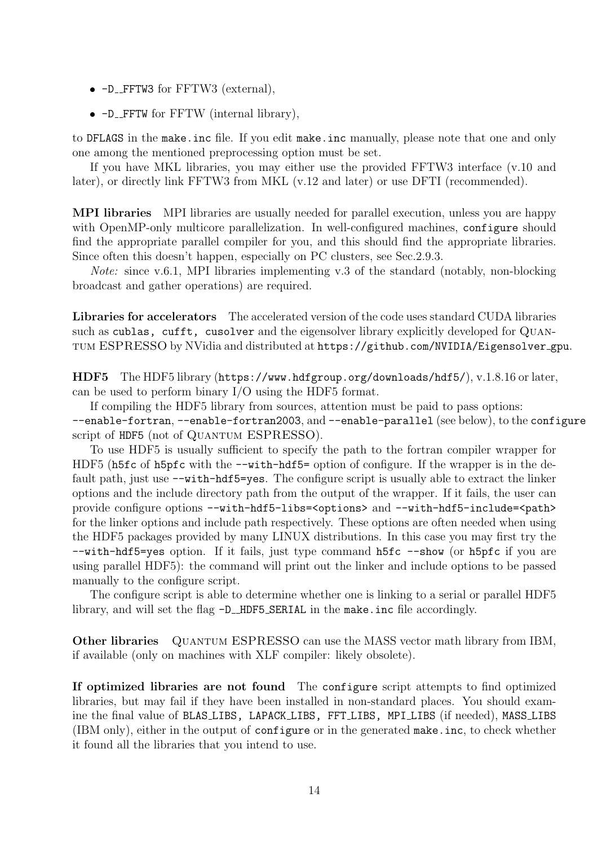- $\bullet$  -D\_FFTW3 for FFTW3 (external),
- $\bullet$  -D\_FFTW for FFTW (internal library),

to DFLAGS in the make.inc file. If you edit make.inc manually, please note that one and only one among the mentioned preprocessing option must be set.

If you have MKL libraries, you may either use the provided FFTW3 interface (v.10 and later), or directly link FFTW3 from MKL (v.12 and later) or use DFTI (recommended).

MPI libraries MPI libraries are usually needed for parallel execution, unless you are happy with OpenMP-only multicore parallelization. In well-configured machines, configure should find the appropriate parallel compiler for you, and this should find the appropriate libraries. Since often this doesn't happen, especially on PC clusters, see Sec.2.9.3.

Note: since v.6.1, MPI libraries implementing v.3 of the standard (notably, non-blocking broadcast and gather operations) are required.

Libraries for accelerators The accelerated version of the code uses standard CUDA libraries such as cublas, cufft, cusolver and the eigensolver library explicitly developed for QUANtum ESPRESSO by NVidia and distributed at https://github.com/NVIDIA/Eigensolver gpu.

HDF5 The HDF5 library (https://www.hdfgroup.org/downloads/hdf5/), v.1.8.16 or later, can be used to perform binary I/O using the HDF5 format.

If compiling the HDF5 library from sources, attention must be paid to pass options: --enable-fortran, --enable-fortran2003, and --enable-parallel (see below), to the configure script of HDF5 (not of QUANTUM ESPRESSO).

To use HDF5 is usually sufficient to specify the path to the fortran compiler wrapper for HDF5 (h5fc of h5pfc with the  $-\text{with-hdf5}$  option of configure. If the wrapper is in the default path, just use  $-\text{with-hdf5=yes}$ . The configure script is usually able to extract the linker options and the include directory path from the output of the wrapper. If it fails, the user can provide configure options --with-hdf5-libs=<options> and --with-hdf5-include=<path> for the linker options and include path respectively. These options are often needed when using the HDF5 packages provided by many LINUX distributions. In this case you may first try the --with-hdf5=yes option. If it fails, just type command h5fc --show (or h5pfc if you are using parallel HDF5): the command will print out the linker and include options to be passed manually to the configure script.

The configure script is able to determine whether one is linking to a serial or parallel HDF5 library, and will set the flag  $-D$ \_HDF5\_SERIAL in the make.inc file accordingly.

Other libraries QUANTUM ESPRESSO can use the MASS vector math library from IBM, if available (only on machines with XLF compiler: likely obsolete).

If optimized libraries are not found The configure script attempts to find optimized libraries, but may fail if they have been installed in non-standard places. You should examine the final value of BLAS LIBS, LAPACK LIBS, FFT LIBS, MPI LIBS (if needed), MASS LIBS (IBM only), either in the output of configure or in the generated make.inc, to check whether it found all the libraries that you intend to use.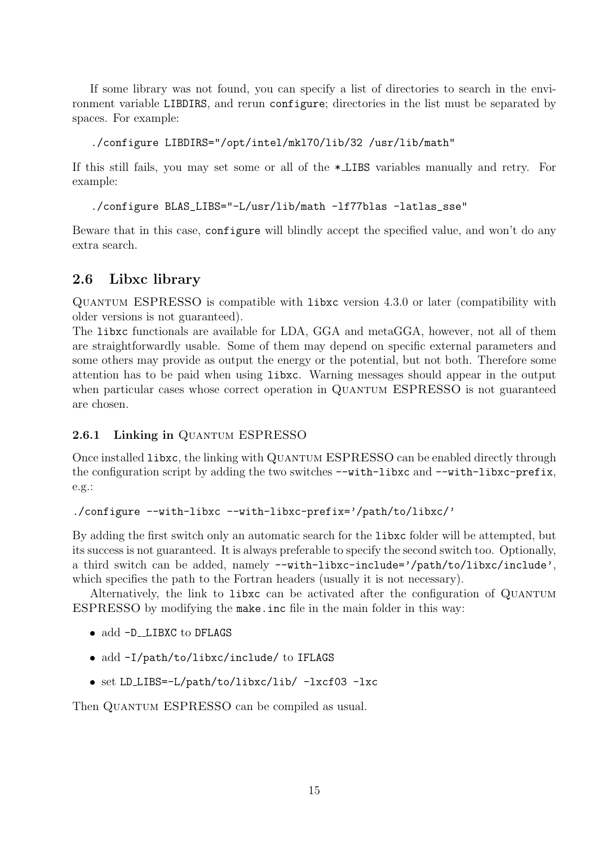If some library was not found, you can specify a list of directories to search in the environment variable LIBDIRS, and rerun configure; directories in the list must be separated by spaces. For example:

./configure LIBDIRS="/opt/intel/mkl70/lib/32 /usr/lib/math"

If this still fails, you may set some or all of the \* LIBS variables manually and retry. For example:

./configure BLAS\_LIBS="-L/usr/lib/math -lf77blas -latlas\_sse"

Beware that in this case, configure will blindly accept the specified value, and won't do any extra search.

#### 2.6 Libxc library

Quantum ESPRESSO is compatible with libxc version 4.3.0 or later (compatibility with older versions is not guaranteed).

The libxc functionals are available for LDA, GGA and metaGGA, however, not all of them are straightforwardly usable. Some of them may depend on specific external parameters and some others may provide as output the energy or the potential, but not both. Therefore some attention has to be paid when using libxc. Warning messages should appear in the output when particular cases whose correct operation in QUANTUM ESPRESSO is not guaranteed are chosen.

#### 2.6.1 Linking in QUANTUM ESPRESSO

Once installed libxc, the linking with QUANTUM ESPRESSO can be enabled directly through the configuration script by adding the two switches  $--with-libxc$  and  $--with-libxc-prefix$ , e.g.:

```
./configure --with-libxc --with-libxc-prefix='/path/to/libxc/'
```
By adding the first switch only an automatic search for the libxc folder will be attempted, but its success is not guaranteed. It is always preferable to specify the second switch too. Optionally, a third switch can be added, namely --with-libxc-include='/path/to/libxc/include', which specifies the path to the Fortran headers (usually it is not necessary).

Alternatively, the link to libxc can be activated after the configuration of Quantum ESPRESSO by modifying the make.inc file in the main folder in this way:

- add -D LIBXC to DFLAGS
- add -I/path/to/libxc/include/ to IFLAGS
- set LD LIBS=-L/path/to/libxc/lib/ -lxcf03 -lxc

Then QUANTUM ESPRESSO can be compiled as usual.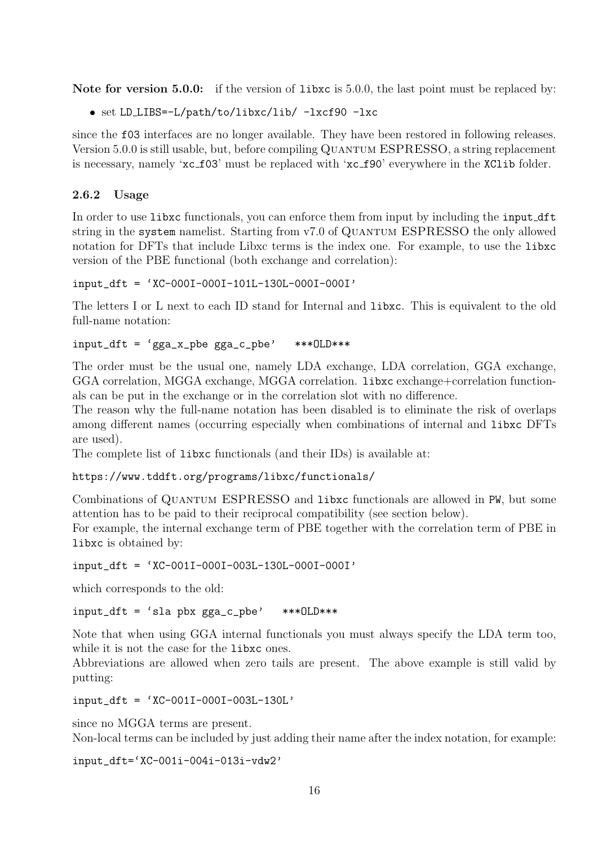Note for version 5.0.0: if the version of libxc is 5.0.0, the last point must be replaced by:

set LD LIBS=-L/path/to/libxc/lib/ -lxcf90 -lxc

since the f03 interfaces are no longer available. They have been restored in following releases. Version 5.0.0 is still usable, but, before compiling Quantum ESPRESSO, a string replacement is necessary, namely 'xc\_f03' must be replaced with 'xc\_f90' everywhere in the XClib folder.

#### 2.6.2 Usage

In order to use libxc functionals, you can enforce them from input by including the input dft string in the system namelist. Starting from v7.0 of QUANTUM ESPRESSO the only allowed notation for DFTs that include Libxc terms is the index one. For example, to use the libxc version of the PBE functional (both exchange and correlation):

 $input$  dft = 'XC-000I-000I-101L-130L-000I-000I'

The letters I or L next to each ID stand for Internal and libxc. This is equivalent to the old full-name notation:

```
input_dft = 'gga_x_pbe gga_c_pbe' ***0LD***
```
The order must be the usual one, namely LDA exchange, LDA correlation, GGA exchange, GGA correlation, MGGA exchange, MGGA correlation. libxc exchange+correlation functionals can be put in the exchange or in the correlation slot with no difference.

The reason why the full-name notation has been disabled is to eliminate the risk of overlaps among different names (occurring especially when combinations of internal and libxc DFTs are used).

The complete list of libxc functionals (and their IDs) is available at:

https://www.tddft.org/programs/libxc/functionals/

Combinations of QUANTUM ESPRESSO and libxc functionals are allowed in PW, but some attention has to be paid to their reciprocal compatibility (see section below).

For example, the internal exchange term of PBE together with the correlation term of PBE in libxc is obtained by:

input\_dft = 'XC-001I-000I-003L-130L-000I-000I'

which corresponds to the old:

input\_dft = 'sla pbx gga\_c\_pbe' \*\*\*OLD\*\*\*

Note that when using GGA internal functionals you must always specify the LDA term too, while it is not the case for the libxc ones.

Abbreviations are allowed when zero tails are present. The above example is still valid by putting:

input\_dft = 'XC-001I-000I-003L-130L'

since no MGGA terms are present.

Non-local terms can be included by just adding their name after the index notation, for example:

input\_dft='XC-001i-004i-013i-vdw2'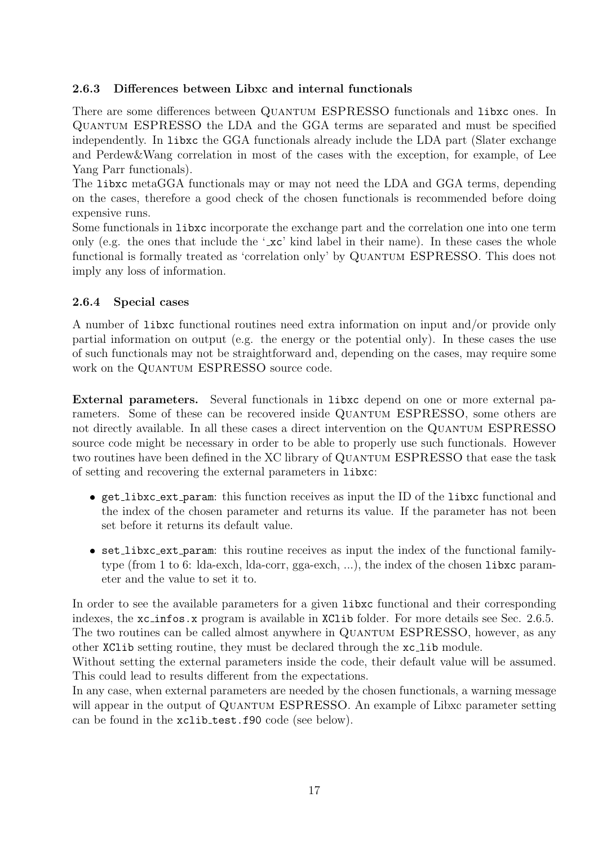#### 2.6.3 Differences between Libxc and internal functionals

There are some differences between QUANTUM ESPRESSO functionals and libxc ones. In Quantum ESPRESSO the LDA and the GGA terms are separated and must be specified independently. In libxc the GGA functionals already include the LDA part (Slater exchange and Perdew&Wang correlation in most of the cases with the exception, for example, of Lee Yang Parr functionals).

The libxc metaGGA functionals may or may not need the LDA and GGA terms, depending on the cases, therefore a good check of the chosen functionals is recommended before doing expensive runs.

Some functionals in libxc incorporate the exchange part and the correlation one into one term only (e.g. the ones that include the ' $\mathbf{xc}'$  kind label in their name). In these cases the whole functional is formally treated as 'correlation only' by QUANTUM ESPRESSO. This does not imply any loss of information.

#### 2.6.4 Special cases

A number of libxc functional routines need extra information on input and/or provide only partial information on output (e.g. the energy or the potential only). In these cases the use of such functionals may not be straightforward and, depending on the cases, may require some work on the QUANTUM ESPRESSO source code.

External parameters. Several functionals in libxc depend on one or more external parameters. Some of these can be recovered inside QUANTUM ESPRESSO, some others are not directly available. In all these cases a direct intervention on the QUANTUM ESPRESSO source code might be necessary in order to be able to properly use such functionals. However two routines have been defined in the XC library of QUANTUM ESPRESSO that ease the task of setting and recovering the external parameters in libxc:

- get libxc ext param: this function receives as input the ID of the libxc functional and the index of the chosen parameter and returns its value. If the parameter has not been set before it returns its default value.
- set libxc ext param: this routine receives as input the index of the functional familytype (from 1 to 6: lda-exch, lda-corr, gga-exch, ...), the index of the chosen libxc parameter and the value to set it to.

In order to see the available parameters for a given librar functional and their corresponding indexes, the  $xc\text{-infos}.x$  program is available in XC1ib folder. For more details see Sec. 2.6.5. The two routines can be called almost anywhere in QUANTUM ESPRESSO, however, as any other XClib setting routine, they must be declared through the xc lib module.

Without setting the external parameters inside the code, their default value will be assumed. This could lead to results different from the expectations.

In any case, when external parameters are needed by the chosen functionals, a warning message will appear in the output of QUANTUM ESPRESSO. An example of Libxc parameter setting can be found in the xclib\_test.f90 code (see below).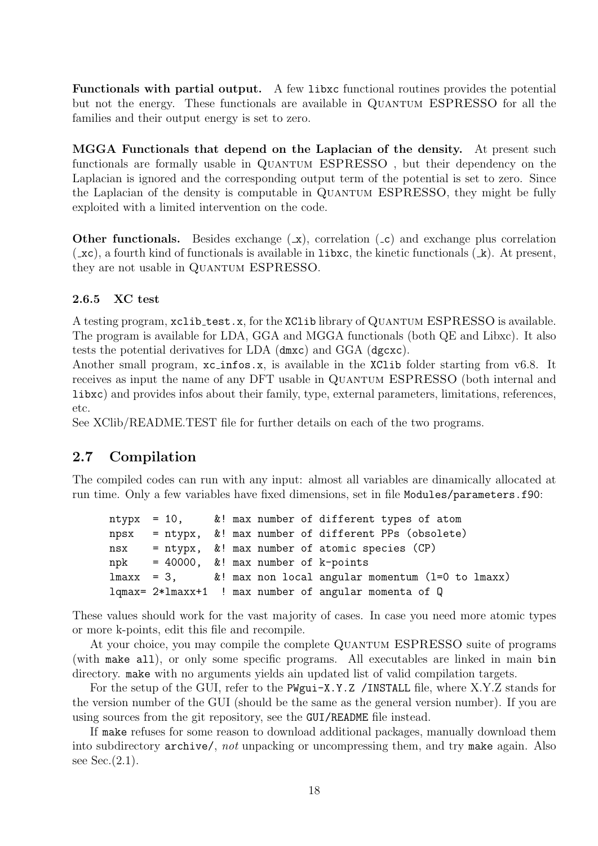Functionals with partial output. A few libxc functional routines provides the potential but not the energy. These functionals are available in QUANTUM ESPRESSO for all the families and their output energy is set to zero.

MGGA Functionals that depend on the Laplacian of the density. At present such functionals are formally usable in QUANTUM ESPRESSO, but their dependency on the Laplacian is ignored and the corresponding output term of the potential is set to zero. Since the Laplacian of the density is computable in QUANTUM ESPRESSO, they might be fully exploited with a limited intervention on the code.

**Other functionals.** Besides exchange  $(x)$ , correlation  $(c)$  and exchange plus correlation  $(\texttt{c} \times \texttt{c})$ , a fourth kind of functionals is available in libxc, the kinetic functionals  $(\texttt{k})$ . At present, they are not usable in QUANTUM ESPRESSO.

#### 2.6.5 XC test

A testing program, xclib test.x, for the XClib library of Quantum ESPRESSO is available. The program is available for LDA, GGA and MGGA functionals (both QE and Libxc). It also tests the potential derivatives for LDA (dmxc) and GGA (dgcxc).

Another small program,  $xc\text{-infos.x}$ , is available in the XClib folder starting from v6.8. It receives as input the name of any DFT usable in Quantum ESPRESSO (both internal and libxc) and provides infos about their family, type, external parameters, limitations, references, etc.

See XClib/README.TEST file for further details on each of the two programs.

## 2.7 Compilation

The compiled codes can run with any input: almost all variables are dinamically allocated at run time. Only a few variables have fixed dimensions, set in file Modules/parameters.f90:

ntypx = 10, &! max number of different types of atom npsx = ntypx, &! max number of different PPs (obsolete)  $nsx = ntypx$ , &! max number of atomic species (CP) npk =  $40000$ ,  $\&!$  max number of k-points  $lmax = 3$ , &! max non local angular momentum  $(l=0$  to lmaxx) lqmax= 2\*lmaxx+1 ! max number of angular momenta of Q

These values should work for the vast majority of cases. In case you need more atomic types or more k-points, edit this file and recompile.

At your choice, you may compile the complete QUANTUM ESPRESSO suite of programs (with make all), or only some specific programs. All executables are linked in main bin directory. make with no arguments yields ain updated list of valid compilation targets.

For the setup of the GUI, refer to the PWgui-X.Y.Z /INSTALL file, where X.Y.Z stands for the version number of the GUI (should be the same as the general version number). If you are using sources from the git repository, see the GUI/README file instead.

If make refuses for some reason to download additional packages, manually download them into subdirectory archive/, not unpacking or uncompressing them, and try make again. Also see Sec.(2.1).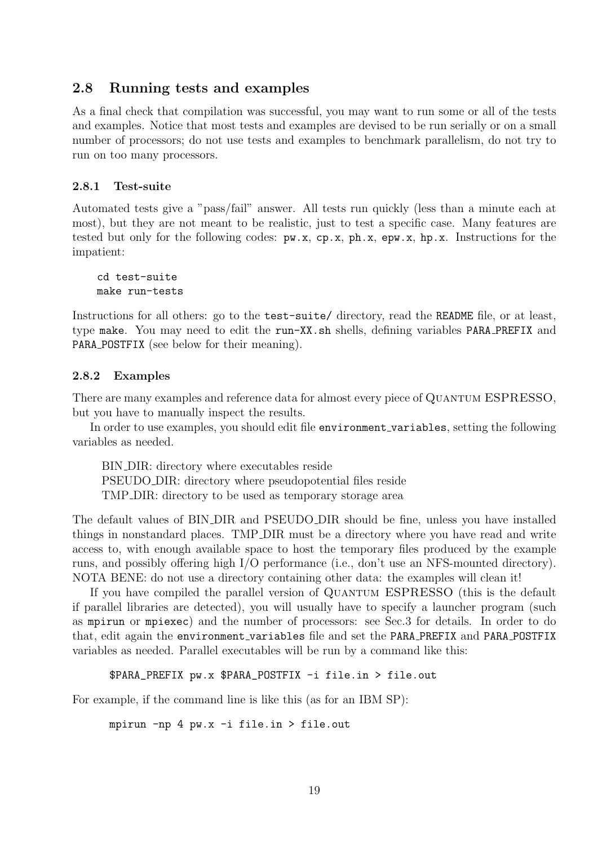#### 2.8 Running tests and examples

As a final check that compilation was successful, you may want to run some or all of the tests and examples. Notice that most tests and examples are devised to be run serially or on a small number of processors; do not use tests and examples to benchmark parallelism, do not try to run on too many processors.

#### 2.8.1 Test-suite

Automated tests give a "pass/fail" answer. All tests run quickly (less than a minute each at most), but they are not meant to be realistic, just to test a specific case. Many features are tested but only for the following codes:  $pw.x$ ,  $cp.x$ ,  $ph.x$ ,  $epw.x$ ,  $hp.x$ . Instructions for the impatient:

cd test-suite make run-tests

Instructions for all others: go to the **test-suite**/ directory, read the **README** file, or at least, type make. You may need to edit the run-XX.sh shells, defining variables PARA PREFIX and PARA POSTFIX (see below for their meaning).

#### 2.8.2 Examples

There are many examples and reference data for almost every piece of QUANTUM ESPRESSO, but you have to manually inspect the results.

In order to use examples, you should edit file environment variables, setting the following variables as needed.

BIN DIR: directory where executables reside PSEUDO DIR: directory where pseudopotential files reside TMP DIR: directory to be used as temporary storage area

The default values of BIN DIR and PSEUDO DIR should be fine, unless you have installed things in nonstandard places. TMP DIR must be a directory where you have read and write access to, with enough available space to host the temporary files produced by the example runs, and possibly offering high I/O performance (i.e., don't use an NFS-mounted directory). NOTA BENE: do not use a directory containing other data: the examples will clean it!

If you have compiled the parallel version of QUANTUM ESPRESSO (this is the default if parallel libraries are detected), you will usually have to specify a launcher program (such as mpirun or mpiexec) and the number of processors: see Sec.3 for details. In order to do that, edit again the environment variables file and set the PARA PREFIX and PARA POSTFIX variables as needed. Parallel executables will be run by a command like this:

```
$PARA_PREFIX pw.x $PARA_POSTFIX -i file.in > file.out
```
For example, if the command line is like this (as for an IBM SP):

mpirun -np 4 pw.x -i file.in > file.out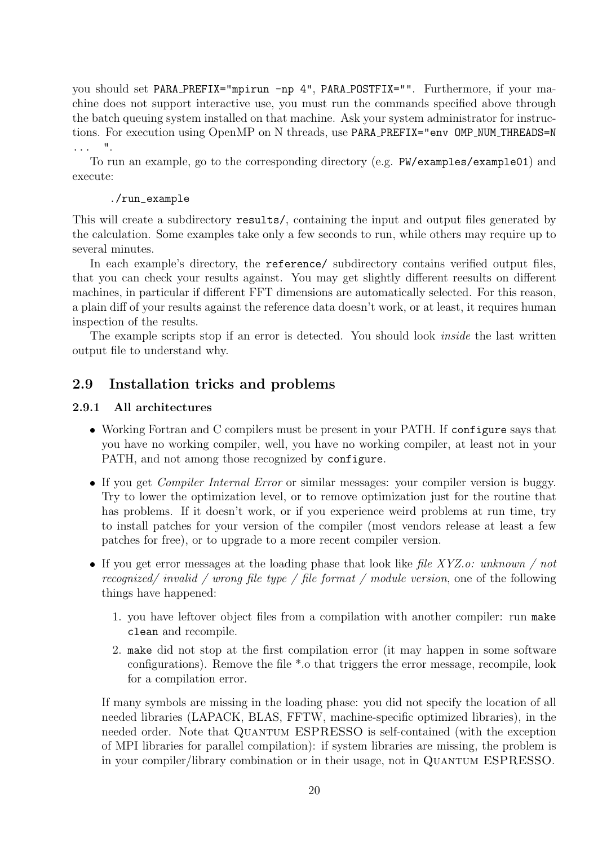you should set PARA PREFIX="mpirun -np 4", PARA POSTFIX="". Furthermore, if your machine does not support interactive use, you must run the commands specified above through the batch queuing system installed on that machine. Ask your system administrator for instructions. For execution using OpenMP on N threads, use PARA PREFIX="env OMP\_NUM\_THREADS=N ... ".

To run an example, go to the corresponding directory (e.g. PW/examples/example01) and execute:

#### ./run\_example

This will create a subdirectory results/, containing the input and output files generated by the calculation. Some examples take only a few seconds to run, while others may require up to several minutes.

In each example's directory, the reference/ subdirectory contains verified output files, that you can check your results against. You may get slightly different reesults on different machines, in particular if different FFT dimensions are automatically selected. For this reason, a plain diff of your results against the reference data doesn't work, or at least, it requires human inspection of the results.

The example scripts stop if an error is detected. You should look *inside* the last written output file to understand why.

## 2.9 Installation tricks and problems

#### 2.9.1 All architectures

- Working Fortran and C compilers must be present in your PATH. If configure says that you have no working compiler, well, you have no working compiler, at least not in your PATH, and not among those recognized by configure.
- If you get *Compiler Internal Error* or similar messages: your compiler version is buggy. Try to lower the optimization level, or to remove optimization just for the routine that has problems. If it doesn't work, or if you experience weird problems at run time, try to install patches for your version of the compiler (most vendors release at least a few patches for free), or to upgrade to a more recent compiler version.
- If you get error messages at the loading phase that look like file  $XYZ.o: unknown / not$ recognized/ invalid / wrong file type / file format / module version, one of the following things have happened:
	- 1. you have leftover object files from a compilation with another compiler: run make clean and recompile.
	- 2. make did not stop at the first compilation error (it may happen in some software configurations). Remove the file \*.o that triggers the error message, recompile, look for a compilation error.

If many symbols are missing in the loading phase: you did not specify the location of all needed libraries (LAPACK, BLAS, FFTW, machine-specific optimized libraries), in the needed order. Note that QUANTUM ESPRESSO is self-contained (with the exception of MPI libraries for parallel compilation): if system libraries are missing, the problem is in your compiler/library combination or in their usage, not in Quantum ESPRESSO.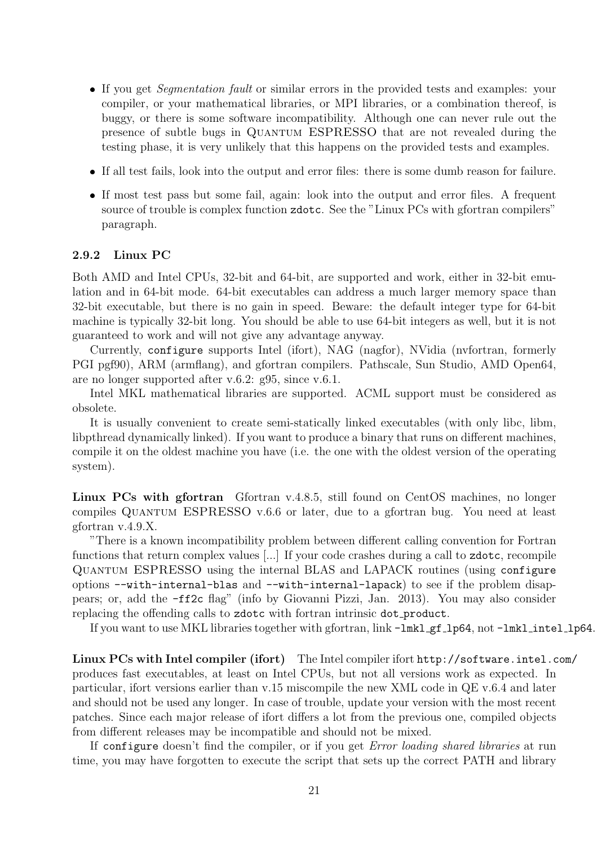- If you get Segmentation fault or similar errors in the provided tests and examples: your compiler, or your mathematical libraries, or MPI libraries, or a combination thereof, is buggy, or there is some software incompatibility. Although one can never rule out the presence of subtle bugs in Quantum ESPRESSO that are not revealed during the testing phase, it is very unlikely that this happens on the provided tests and examples.
- If all test fails, look into the output and error files: there is some dumb reason for failure.
- If most test pass but some fail, again: look into the output and error files. A frequent source of trouble is complex function zdotc. See the "Linux PCs with gfortran compilers" paragraph.

#### 2.9.2 Linux PC

Both AMD and Intel CPUs, 32-bit and 64-bit, are supported and work, either in 32-bit emulation and in 64-bit mode. 64-bit executables can address a much larger memory space than 32-bit executable, but there is no gain in speed. Beware: the default integer type for 64-bit machine is typically 32-bit long. You should be able to use 64-bit integers as well, but it is not guaranteed to work and will not give any advantage anyway.

Currently, configure supports Intel (ifort), NAG (nagfor), NVidia (nvfortran, formerly PGI pgf90), ARM (armflang), and gfortran compilers. Pathscale, Sun Studio, AMD Open64, are no longer supported after v.6.2: g95, since v.6.1.

Intel MKL mathematical libraries are supported. ACML support must be considered as obsolete.

It is usually convenient to create semi-statically linked executables (with only libc, libm, libpthread dynamically linked). If you want to produce a binary that runs on different machines, compile it on the oldest machine you have (i.e. the one with the oldest version of the operating system).

Linux PCs with gfortran Gfortran v.4.8.5, still found on CentOS machines, no longer compiles Quantum ESPRESSO v.6.6 or later, due to a gfortran bug. You need at least gfortran v.4.9.X.

"There is a known incompatibility problem between different calling convention for Fortran functions that return complex values [...] If your code crashes during a call to zdotc, recompile Quantum ESPRESSO using the internal BLAS and LAPACK routines (using configure options --with-internal-blas and --with-internal-lapack) to see if the problem disappears; or, add the -ff2c flag" (info by Giovanni Pizzi, Jan. 2013). You may also consider replacing the offending calls to zdotc with fortran intrinsic dot product.

If you want to use MKL libraries together with gfortran, link  $-\text{lmkl\_gf\_lp64}$ , not  $-\text{lmkl\_intel\_lp64}$ .

Linux PCs with Intel compiler (ifort) The Intel compiler ifort http://software.intel.com/ produces fast executables, at least on Intel CPUs, but not all versions work as expected. In particular, ifort versions earlier than v.15 miscompile the new XML code in QE v.6.4 and later and should not be used any longer. In case of trouble, update your version with the most recent patches. Since each major release of ifort differs a lot from the previous one, compiled objects from different releases may be incompatible and should not be mixed.

If configure doesn't find the compiler, or if you get Error loading shared libraries at run time, you may have forgotten to execute the script that sets up the correct PATH and library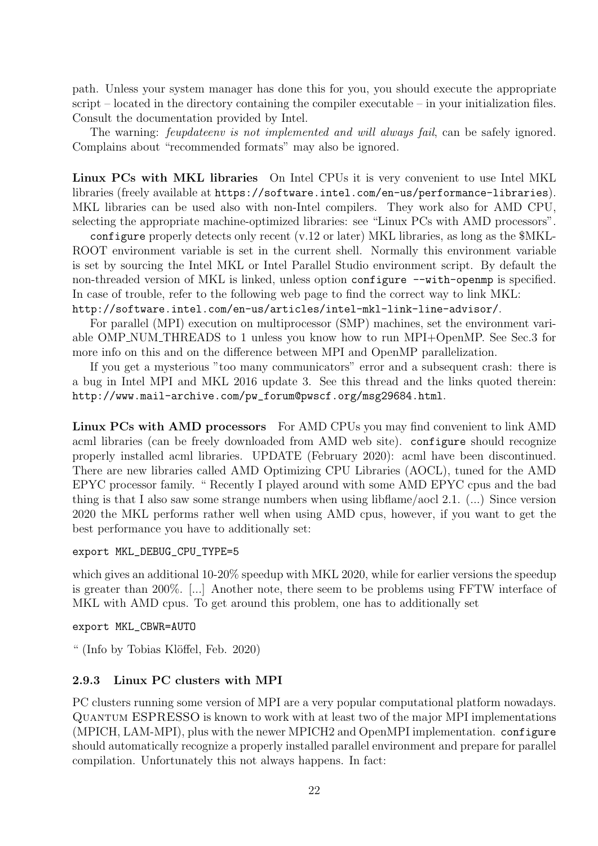path. Unless your system manager has done this for you, you should execute the appropriate script – located in the directory containing the compiler executable – in your initialization files. Consult the documentation provided by Intel.

The warning: *feupdateenv is not implemented and will always fail*, can be safely ignored. Complains about "recommended formats" may also be ignored.

Linux PCs with MKL libraries On Intel CPUs it is very convenient to use Intel MKL libraries (freely available at https://software.intel.com/en-us/performance-libraries). MKL libraries can be used also with non-Intel compilers. They work also for AMD CPU, selecting the appropriate machine-optimized libraries: see "Linux PCs with AMD processors".

configure properly detects only recent (v.12 or later) MKL libraries, as long as the \$MKL-ROOT environment variable is set in the current shell. Normally this environment variable is set by sourcing the Intel MKL or Intel Parallel Studio environment script. By default the non-threaded version of MKL is linked, unless option configure --with-openmp is specified. In case of trouble, refer to the following web page to find the correct way to link MKL: http://software.intel.com/en-us/articles/intel-mkl-link-line-advisor/.

For parallel (MPI) execution on multiprocessor (SMP) machines, set the environment variable OMP NUM THREADS to 1 unless you know how to run MPI+OpenMP. See Sec.3 for more info on this and on the difference between MPI and OpenMP parallelization.

If you get a mysterious "too many communicators" error and a subsequent crash: there is a bug in Intel MPI and MKL 2016 update 3. See this thread and the links quoted therein: http://www.mail-archive.com/pw\_forum@pwscf.org/msg29684.html.

Linux PCs with AMD processors For AMD CPUs you may find convenient to link AMD acml libraries (can be freely downloaded from AMD web site). configure should recognize properly installed acml libraries. UPDATE (February 2020): acml have been discontinued. There are new libraries called AMD Optimizing CPU Libraries (AOCL), tuned for the AMD EPYC processor family. " Recently I played around with some AMD EPYC cpus and the bad thing is that I also saw some strange numbers when using libflame/aocl 2.1. (...) Since version 2020 the MKL performs rather well when using AMD cpus, however, if you want to get the best performance you have to additionally set:

#### export MKL\_DEBUG\_CPU\_TYPE=5

which gives an additional 10-20% speedup with MKL 2020, while for earlier versions the speedup is greater than 200%. [...] Another note, there seem to be problems using FFTW interface of MKL with AMD cpus. To get around this problem, one has to additionally set

export MKL\_CBWR=AUTO

" (Info by Tobias Klöffel, Feb. 2020)

#### 2.9.3 Linux PC clusters with MPI

PC clusters running some version of MPI are a very popular computational platform nowadays. Quantum ESPRESSO is known to work with at least two of the major MPI implementations (MPICH, LAM-MPI), plus with the newer MPICH2 and OpenMPI implementation. configure should automatically recognize a properly installed parallel environment and prepare for parallel compilation. Unfortunately this not always happens. In fact: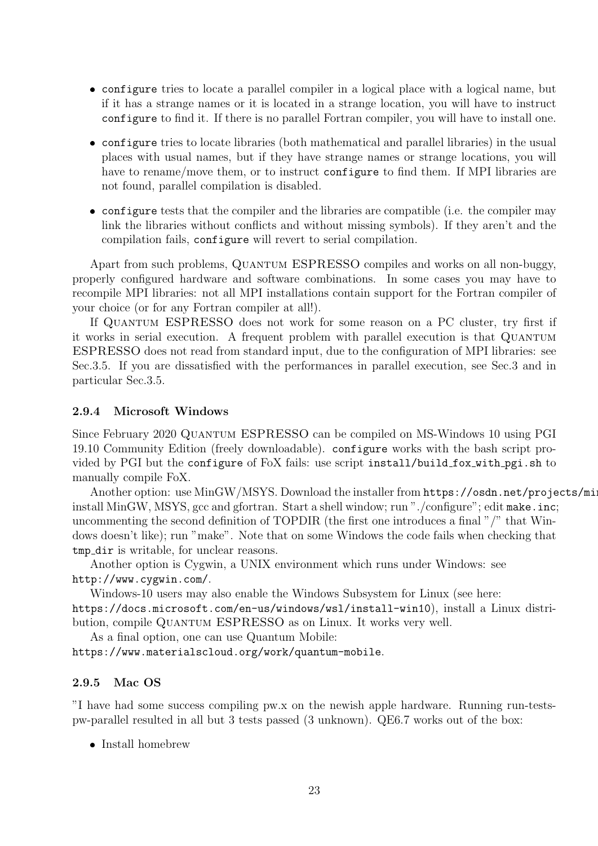- configure tries to locate a parallel compiler in a logical place with a logical name, but if it has a strange names or it is located in a strange location, you will have to instruct configure to find it. If there is no parallel Fortran compiler, you will have to install one.
- configure tries to locate libraries (both mathematical and parallel libraries) in the usual places with usual names, but if they have strange names or strange locations, you will have to rename/move them, or to instruct configure to find them. If MPI libraries are not found, parallel compilation is disabled.
- configure tests that the compiler and the libraries are compatible (i.e. the compiler may link the libraries without conflicts and without missing symbols). If they aren't and the compilation fails, configure will revert to serial compilation.

Apart from such problems, QUANTUM ESPRESSO compiles and works on all non-buggy, properly configured hardware and software combinations. In some cases you may have to recompile MPI libraries: not all MPI installations contain support for the Fortran compiler of your choice (or for any Fortran compiler at all!).

If Quantum ESPRESSO does not work for some reason on a PC cluster, try first if it works in serial execution. A frequent problem with parallel execution is that Quantum ESPRESSO does not read from standard input, due to the configuration of MPI libraries: see Sec.3.5. If you are dissatisfied with the performances in parallel execution, see Sec.3 and in particular Sec.3.5.

#### 2.9.4 Microsoft Windows

Since February 2020 Quantum ESPRESSO can be compiled on MS-Windows 10 using PGI 19.10 Community Edition (freely downloadable). configure works with the bash script provided by PGI but the configure of FoX fails: use script install/build fox with pgi.sh to manually compile FoX.

Another option: use MinGW/MSYS. Download the installer from https://osdn.net/projects/ming install MinGW, MSYS, gcc and gfortran. Start a shell window; run "./configure"; edit make.inc; uncommenting the second definition of TOPDIR (the first one introduces a final "/" that Windows doesn't like); run "make". Note that on some Windows the code fails when checking that tmp dir is writable, for unclear reasons.

Another option is Cygwin, a UNIX environment which runs under Windows: see http://www.cygwin.com/.

Windows-10 users may also enable the Windows Subsystem for Linux (see here: https://docs.microsoft.com/en-us/windows/wsl/install-win10), install a Linux distribution, compile QUANTUM ESPRESSO as on Linux. It works very well.

As a final option, one can use Quantum Mobile: https://www.materialscloud.org/work/quantum-mobile.

#### 2.9.5 Mac OS

"I have had some success compiling pw.x on the newish apple hardware. Running run-testspw-parallel resulted in all but 3 tests passed (3 unknown). QE6.7 works out of the box:

• Install homebrew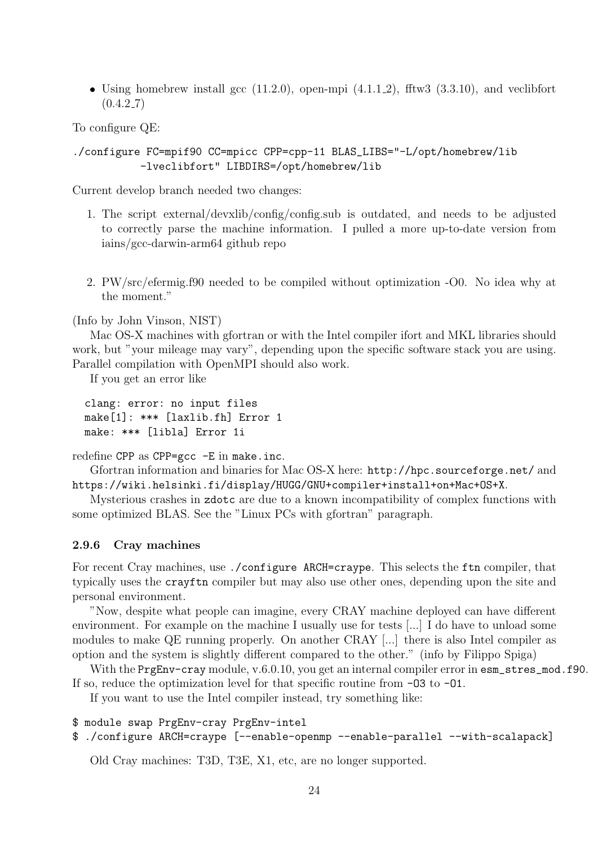• Using homebrew install gcc  $(11.2.0)$ , open-mpi  $(4.1.1.2)$ , fftw3  $(3.3.10)$ , and veclibfort  $(0.4.2\_7)$ 

To configure QE:

#### ./configure FC=mpif90 CC=mpicc CPP=cpp-11 BLAS\_LIBS="-L/opt/homebrew/lib -lveclibfort" LIBDIRS=/opt/homebrew/lib

Current develop branch needed two changes:

- 1. The script external/devxlib/config/config.sub is outdated, and needs to be adjusted to correctly parse the machine information. I pulled a more up-to-date version from iains/gcc-darwin-arm64 github repo
- 2. PW/src/efermig.f90 needed to be compiled without optimization -O0. No idea why at the moment."

(Info by John Vinson, NIST)

Mac OS-X machines with gfortran or with the Intel compiler ifort and MKL libraries should work, but "your mileage may vary", depending upon the specific software stack you are using. Parallel compilation with OpenMPI should also work.

If you get an error like

```
clang: error: no input files
make[1]: *** [laxlib.fh] Error 1
make: *** [libla] Error 1i
```
redefine CPP as CPP=gcc -E in make.inc.

Gfortran information and binaries for Mac OS-X here: http://hpc.sourceforge.net/ and https://wiki.helsinki.fi/display/HUGG/GNU+compiler+install+on+Mac+OS+X.

Mysterious crashes in zdotc are due to a known incompatibility of complex functions with some optimized BLAS. See the "Linux PCs with gfortran" paragraph.

#### 2.9.6 Cray machines

For recent Cray machines, use ./configure ARCH=craype. This selects the ftn compiler, that typically uses the crayftn compiler but may also use other ones, depending upon the site and personal environment.

"Now, despite what people can imagine, every CRAY machine deployed can have different environment. For example on the machine I usually use for tests [...] I do have to unload some modules to make QE running properly. On another CRAY [...] there is also Intel compiler as option and the system is slightly different compared to the other." (info by Filippo Spiga)

With the PrgEnv-cray module, v.6.0.10, you get an internal compiler error in esm\_stres\_mod.f90. If so, reduce the optimization level for that specific routine from -O3 to -O1.

If you want to use the Intel compiler instead, try something like:

```
$ module swap PrgEnv-cray PrgEnv-intel
```

```
$ ./configure ARCH=craype [--enable-openmp --enable-parallel --with-scalapack]
```
Old Cray machines: T3D, T3E, X1, etc, are no longer supported.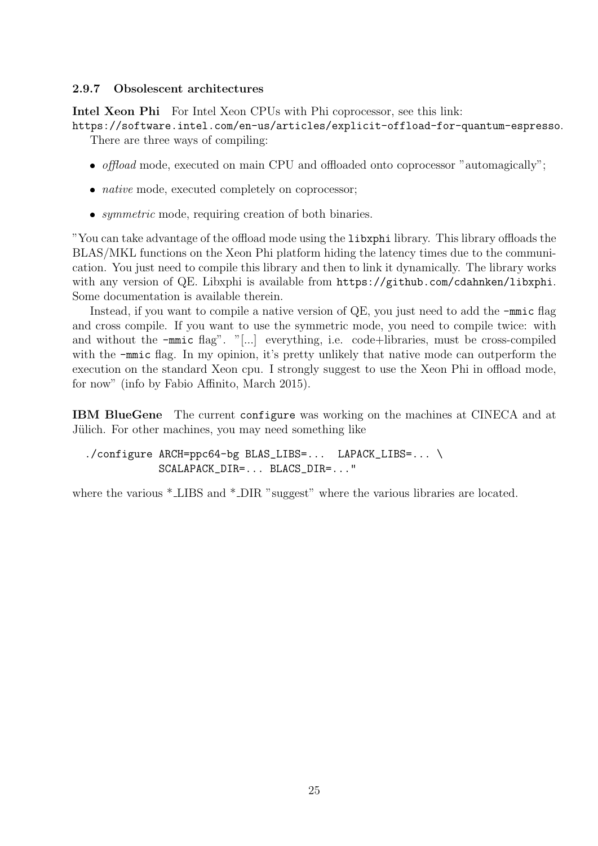#### 2.9.7 Obsolescent architectures

Intel Xeon Phi For Intel Xeon CPUs with Phi coprocessor, see this link:

https://software.intel.com/en-us/articles/explicit-offload-for-quantum-espresso. There are three ways of compiling:

- *offload* mode, executed on main CPU and offloaded onto coprocessor "automagically";
- *native* mode, executed completely on coprocessor;
- symmetric mode, requiring creation of both binaries.

"You can take advantage of the offload mode using the libxphi library. This library offloads the BLAS/MKL functions on the Xeon Phi platform hiding the latency times due to the communication. You just need to compile this library and then to link it dynamically. The library works with any version of QE. Libxphi is available from  $https://github.com/cdahnken/libxphi.$ Some documentation is available therein.

Instead, if you want to compile a native version of QE, you just need to add the  $\text{-mmic flag}$ and cross compile. If you want to use the symmetric mode, you need to compile twice: with and without the -mmic flag". "[...] everything, i.e. code+libraries, must be cross-compiled with the  $\text{-mmic flag.}$  In my opinion, it's pretty unlikely that native mode can outperform the execution on the standard Xeon cpu. I strongly suggest to use the Xeon Phi in offload mode, for now" (info by Fabio Affinito, March 2015).

IBM BlueGene The current configure was working on the machines at CINECA and at Jülich. For other machines, you may need something like

./configure ARCH=ppc64-bg BLAS\_LIBS=... LAPACK\_LIBS=... \ SCALAPACK\_DIR=... BLACS\_DIR=..."

where the various  $*$  LIBS and  $*$  DIR "suggest" where the various libraries are located.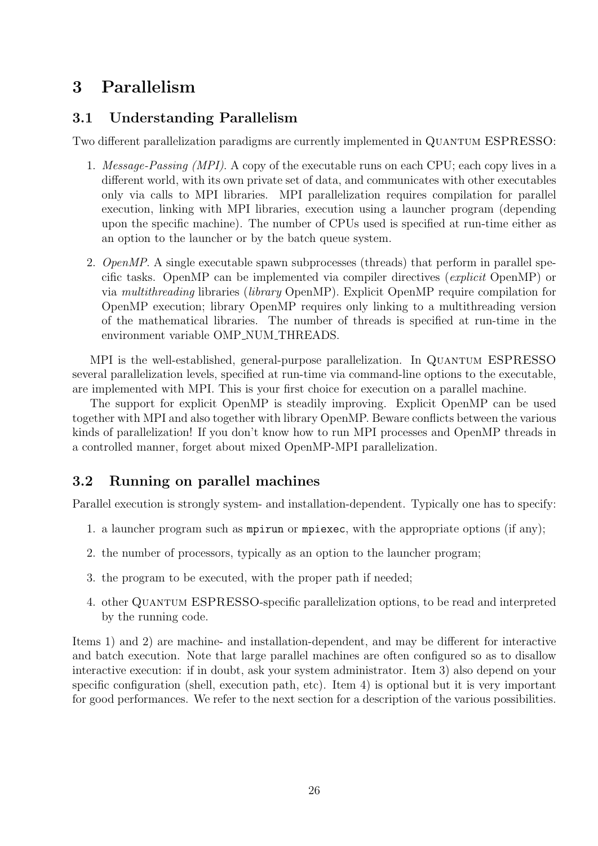## 3 Parallelism

## 3.1 Understanding Parallelism

Two different parallelization paradigms are currently implemented in QUANTUM ESPRESSO:

- 1. *Message-Passing (MPI)*. A copy of the executable runs on each CPU; each copy lives in a different world, with its own private set of data, and communicates with other executables only via calls to MPI libraries. MPI parallelization requires compilation for parallel execution, linking with MPI libraries, execution using a launcher program (depending upon the specific machine). The number of CPUs used is specified at run-time either as an option to the launcher or by the batch queue system.
- 2. *OpenMP*. A single executable spawn subprocesses (threads) that perform in parallel specific tasks. OpenMP can be implemented via compiler directives (explicit OpenMP) or via multithreading libraries (library OpenMP). Explicit OpenMP require compilation for OpenMP execution; library OpenMP requires only linking to a multithreading version of the mathematical libraries. The number of threads is specified at run-time in the environment variable OMP NUM THREADS.

MPI is the well-established, general-purpose parallelization. In QUANTUM ESPRESSO several parallelization levels, specified at run-time via command-line options to the executable, are implemented with MPI. This is your first choice for execution on a parallel machine.

The support for explicit OpenMP is steadily improving. Explicit OpenMP can be used together with MPI and also together with library OpenMP. Beware conflicts between the various kinds of parallelization! If you don't know how to run MPI processes and OpenMP threads in a controlled manner, forget about mixed OpenMP-MPI parallelization.

## 3.2 Running on parallel machines

Parallel execution is strongly system- and installation-dependent. Typically one has to specify:

- 1. a launcher program such as mpirun or mpiexec, with the appropriate options (if any);
- 2. the number of processors, typically as an option to the launcher program;
- 3. the program to be executed, with the proper path if needed;
- 4. other Quantum ESPRESSO-specific parallelization options, to be read and interpreted by the running code.

Items 1) and 2) are machine- and installation-dependent, and may be different for interactive and batch execution. Note that large parallel machines are often configured so as to disallow interactive execution: if in doubt, ask your system administrator. Item 3) also depend on your specific configuration (shell, execution path, etc). Item 4) is optional but it is very important for good performances. We refer to the next section for a description of the various possibilities.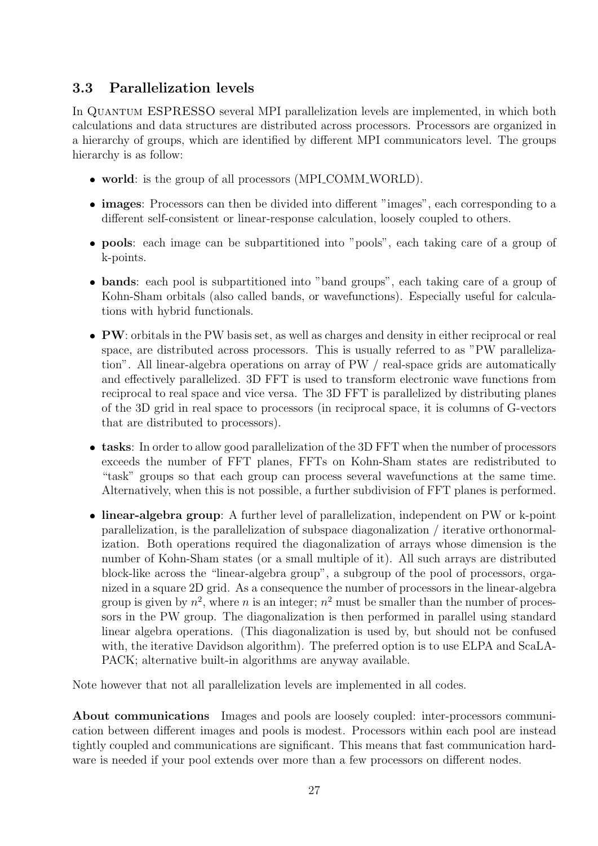## 3.3 Parallelization levels

In QUANTUM ESPRESSO several MPI parallelization levels are implemented, in which both calculations and data structures are distributed across processors. Processors are organized in a hierarchy of groups, which are identified by different MPI communicators level. The groups hierarchy is as follow:

- world: is the group of all processors (MPI\_COMM\_WORLD).
- images: Processors can then be divided into different "images", each corresponding to a different self-consistent or linear-response calculation, loosely coupled to others.
- pools: each image can be subpartitioned into "pools", each taking care of a group of k-points.
- bands: each pool is subpartitioned into "band groups", each taking care of a group of Kohn-Sham orbitals (also called bands, or wavefunctions). Especially useful for calculations with hybrid functionals.
- PW: orbitals in the PW basis set, as well as charges and density in either reciprocal or real space, are distributed across processors. This is usually referred to as "PW parallelization". All linear-algebra operations on array of PW / real-space grids are automatically and effectively parallelized. 3D FFT is used to transform electronic wave functions from reciprocal to real space and vice versa. The 3D FFT is parallelized by distributing planes of the 3D grid in real space to processors (in reciprocal space, it is columns of G-vectors that are distributed to processors).
- tasks: In order to allow good parallelization of the 3D FFT when the number of processors exceeds the number of FFT planes, FFTs on Kohn-Sham states are redistributed to "task" groups so that each group can process several wavefunctions at the same time. Alternatively, when this is not possible, a further subdivision of FFT planes is performed.
- linear-algebra group: A further level of parallelization, independent on PW or k-point parallelization, is the parallelization of subspace diagonalization / iterative orthonormalization. Both operations required the diagonalization of arrays whose dimension is the number of Kohn-Sham states (or a small multiple of it). All such arrays are distributed block-like across the "linear-algebra group", a subgroup of the pool of processors, organized in a square 2D grid. As a consequence the number of processors in the linear-algebra group is given by  $n^2$ , where n is an integer;  $n^2$  must be smaller than the number of processors in the PW group. The diagonalization is then performed in parallel using standard linear algebra operations. (This diagonalization is used by, but should not be confused with, the iterative Davidson algorithm). The preferred option is to use ELPA and ScaLA-PACK; alternative built-in algorithms are anyway available.

Note however that not all parallelization levels are implemented in all codes.

About communications Images and pools are loosely coupled: inter-processors communication between different images and pools is modest. Processors within each pool are instead tightly coupled and communications are significant. This means that fast communication hardware is needed if your pool extends over more than a few processors on different nodes.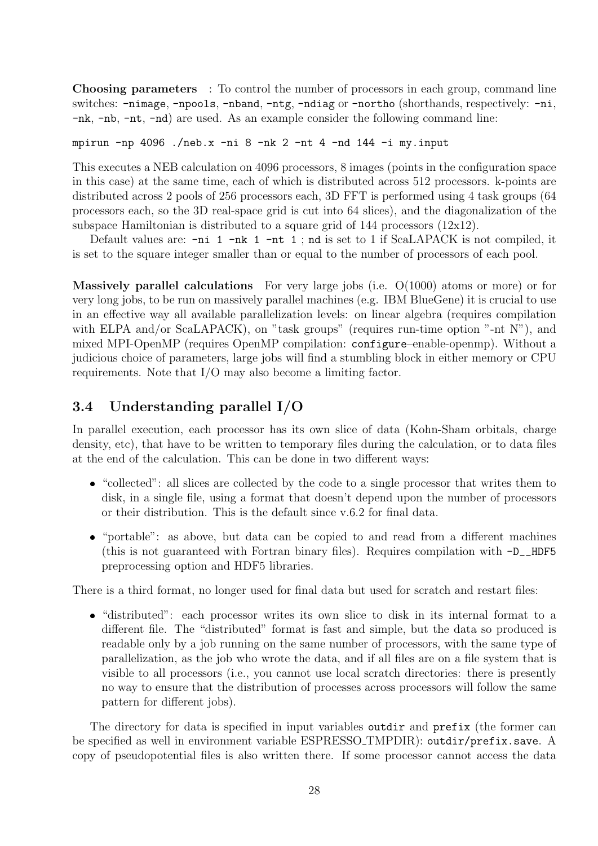Choosing parameters : To control the number of processors in each group, command line switches: -nimage, -npools, -nband, -ntg, -ndiag or -northo (shorthands, respectively: -ni, -nk, -nb, -nt, -nd) are used. As an example consider the following command line:

mpirun -np 4096 ./neb.x -ni 8 -nk 2 -nt 4 -nd 144 -i my.input

This executes a NEB calculation on 4096 processors, 8 images (points in the configuration space in this case) at the same time, each of which is distributed across 512 processors. k-points are distributed across 2 pools of 256 processors each, 3D FFT is performed using 4 task groups (64 processors each, so the 3D real-space grid is cut into 64 slices), and the diagonalization of the subspace Hamiltonian is distributed to a square grid of  $144$  processors  $(12x12)$ .

Default values are: -ni 1 -nk 1 -nt 1 ; nd is set to 1 if ScaLAPACK is not compiled, it is set to the square integer smaller than or equal to the number of processors of each pool.

Massively parallel calculations For very large jobs (i.e. O(1000) atoms or more) or for very long jobs, to be run on massively parallel machines (e.g. IBM BlueGene) it is crucial to use in an effective way all available parallelization levels: on linear algebra (requires compilation with ELPA and/or ScaLAPACK), on "task groups" (requires run-time option "-nt N"), and mixed MPI-OpenMP (requires OpenMP compilation: configure–enable-openmp). Without a judicious choice of parameters, large jobs will find a stumbling block in either memory or CPU requirements. Note that I/O may also become a limiting factor.

## 3.4 Understanding parallel I/O

In parallel execution, each processor has its own slice of data (Kohn-Sham orbitals, charge density, etc), that have to be written to temporary files during the calculation, or to data files at the end of the calculation. This can be done in two different ways:

- "collected": all slices are collected by the code to a single processor that writes them to disk, in a single file, using a format that doesn't depend upon the number of processors or their distribution. This is the default since v.6.2 for final data.
- "portable": as above, but data can be copied to and read from a different machines (this is not guaranteed with Fortran binary files). Requires compilation with  $-D$ \_HDF5 preprocessing option and HDF5 libraries.

There is a third format, no longer used for final data but used for scratch and restart files:

 "distributed": each processor writes its own slice to disk in its internal format to a different file. The "distributed" format is fast and simple, but the data so produced is readable only by a job running on the same number of processors, with the same type of parallelization, as the job who wrote the data, and if all files are on a file system that is visible to all processors (i.e., you cannot use local scratch directories: there is presently no way to ensure that the distribution of processes across processors will follow the same pattern for different jobs).

The directory for data is specified in input variables outdir and prefix (the former can be specified as well in environment variable ESPRESSO TMPDIR): outdir/prefix.save. A copy of pseudopotential files is also written there. If some processor cannot access the data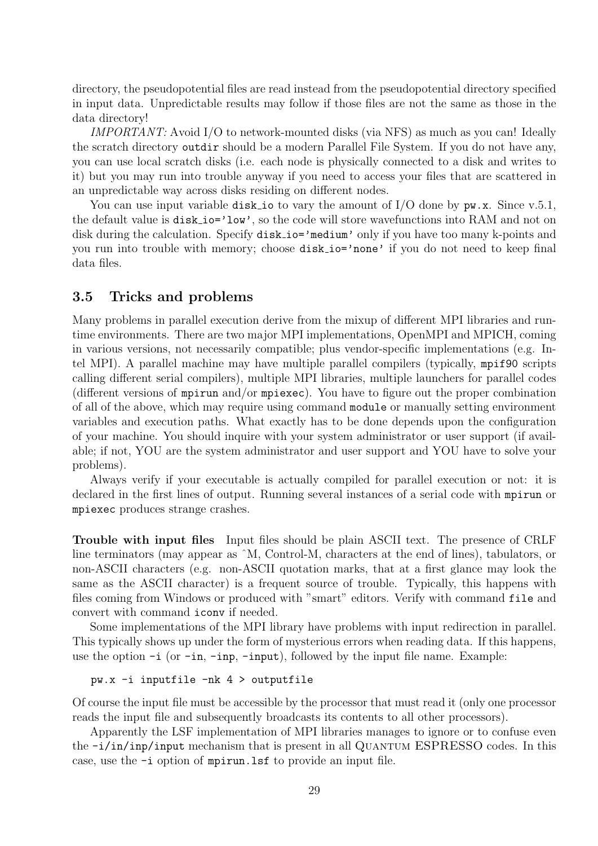directory, the pseudopotential files are read instead from the pseudopotential directory specified in input data. Unpredictable results may follow if those files are not the same as those in the data directory!

IMPORTANT: Avoid I/O to network-mounted disks (via NFS) as much as you can! Ideally the scratch directory outdir should be a modern Parallel File System. If you do not have any, you can use local scratch disks (i.e. each node is physically connected to a disk and writes to it) but you may run into trouble anyway if you need to access your files that are scattered in an unpredictable way across disks residing on different nodes.

You can use input variable disk io to vary the amount of  $I/O$  done by  $pw.x$ . Since v.5.1, the default value is disk io='low', so the code will store wavefunctions into RAM and not on disk during the calculation. Specify disk\_io='medium' only if you have too many k-points and you run into trouble with memory; choose disk io='none' if you do not need to keep final data files.

#### 3.5 Tricks and problems

Many problems in parallel execution derive from the mixup of different MPI libraries and runtime environments. There are two major MPI implementations, OpenMPI and MPICH, coming in various versions, not necessarily compatible; plus vendor-specific implementations (e.g. Intel MPI). A parallel machine may have multiple parallel compilers (typically, mpif90 scripts calling different serial compilers), multiple MPI libraries, multiple launchers for parallel codes (different versions of mpirun and/or mpiexec). You have to figure out the proper combination of all of the above, which may require using command module or manually setting environment variables and execution paths. What exactly has to be done depends upon the configuration of your machine. You should inquire with your system administrator or user support (if available; if not, YOU are the system administrator and user support and YOU have to solve your problems).

Always verify if your executable is actually compiled for parallel execution or not: it is declared in the first lines of output. Running several instances of a serial code with mpirun or mpiexec produces strange crashes.

Trouble with input files Input files should be plain ASCII text. The presence of CRLF line terminators (may appear as ˆM, Control-M, characters at the end of lines), tabulators, or non-ASCII characters (e.g. non-ASCII quotation marks, that at a first glance may look the same as the ASCII character) is a frequent source of trouble. Typically, this happens with files coming from Windows or produced with "smart" editors. Verify with command file and convert with command iconv if needed.

Some implementations of the MPI library have problems with input redirection in parallel. This typically shows up under the form of mysterious errors when reading data. If this happens, use the option  $-i$  (or  $-in$ ,  $-in$ ,  $-in$ ),  $-in$ ,  $-in$ ), followed by the input file name. Example:

```
pw.x -i inputfile -nk 4 > outputfile
```
Of course the input file must be accessible by the processor that must read it (only one processor reads the input file and subsequently broadcasts its contents to all other processors).

Apparently the LSF implementation of MPI libraries manages to ignore or to confuse even the  $-i/in/inp/input$  mechanism that is present in all QUANTUM ESPRESSO codes. In this case, use the -i option of mpirun.lsf to provide an input file.